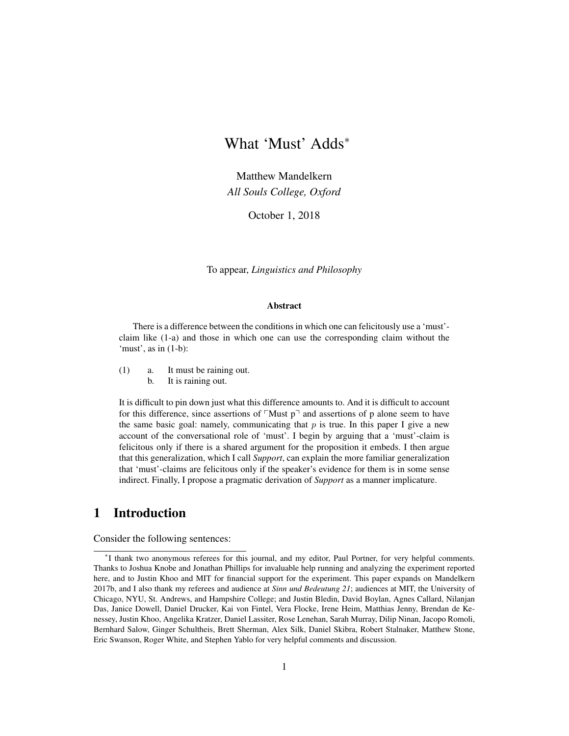# <span id="page-0-0"></span>What 'Must' Adds<sup>∗</sup>

Matthew Mandelkern *All Souls College, Oxford*

October 1, 2018

To appear, *Linguistics and Philosophy*

#### Abstract

There is a difference between the conditions in which one can felicitously use a 'must' claim like (1-a) and those in which one can use the corresponding claim without the 'must', as in (1-b):

- (1) a. It must be raining out.
	- b. It is raining out.

It is difficult to pin down just what this difference amounts to. And it is difficult to account for this difference, since assertions of  $\ulcorner$  Must p $\urcorner$  and assertions of p alone seem to have the same basic goal: namely, communicating that  $p$  is true. In this paper I give a new account of the conversational role of 'must'. I begin by arguing that a 'must'-claim is felicitous only if there is a shared argument for the proposition it embeds. I then argue that this generalization, which I call *Support*, can explain the more familiar generalization that 'must'-claims are felicitous only if the speaker's evidence for them is in some sense indirect. Finally, I propose a pragmatic derivation of *Support* as a manner implicature.

# 1 Introduction

Consider the following sentences:

<sup>∗</sup> I thank two anonymous referees for this journal, and my editor, Paul Portner, for very helpful comments. Thanks to Joshua Knobe and Jonathan Phillips for invaluable help running and analyzing the experiment reported here, and to Justin Khoo and MIT for financial support for the experiment. This paper expands on [Mandelkern](#page-39-0) [2017b,](#page-39-0) and I also thank my referees and audience at *Sinn und Bedeutung 21*; audiences at MIT, the University of Chicago, NYU, St. Andrews, and Hampshire College; and Justin Bledin, David Boylan, Agnes Callard, Nilanjan Das, Janice Dowell, Daniel Drucker, Kai von Fintel, Vera Flocke, Irene Heim, Matthias Jenny, Brendan de Kenessey, Justin Khoo, Angelika Kratzer, Daniel Lassiter, Rose Lenehan, Sarah Murray, Dilip Ninan, Jacopo Romoli, Bernhard Salow, Ginger Schultheis, Brett Sherman, Alex Silk, Daniel Skibra, Robert Stalnaker, Matthew Stone, Eric Swanson, Roger White, and Stephen Yablo for very helpful comments and discussion.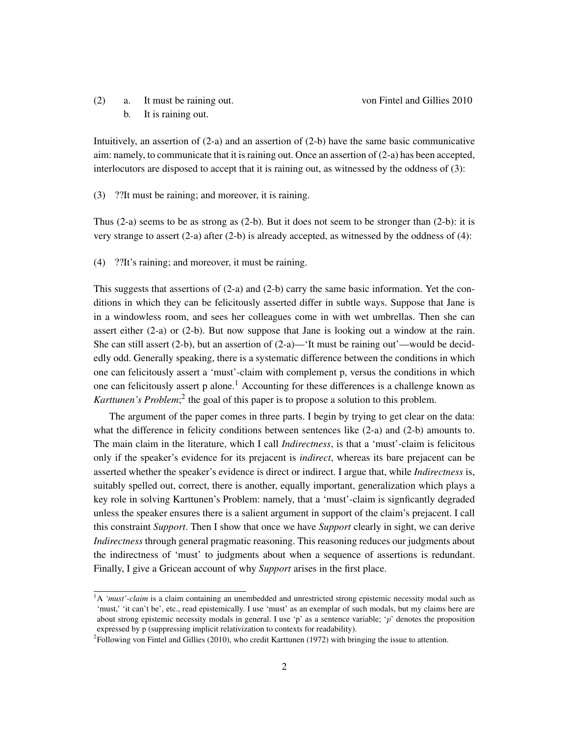#### <span id="page-1-1"></span><span id="page-1-0"></span>(2) a. It must be raining out. [von Fintel and Gillies 2010](#page-38-0) b. It is raining out.

Intuitively, an assertion of [\(2-a\)](#page-1-0) and an assertion of [\(2-b\)](#page-1-1) have the same basic communicative aim: namely, to communicate that it is raining out. Once an assertion of [\(2-a\)](#page-1-0) has been accepted, interlocutors are disposed to accept that it is raining out, as witnessed by the oddness of (3):

(3) ??It must be raining; and moreover, it is raining.

Thus  $(2-a)$  seems to be as strong as  $(2-b)$ . But it does not seem to be stronger than  $(2-b)$ : it is very strange to assert  $(2-a)$  after  $(2-b)$  is already accepted, as witnessed by the oddness of  $(4)$ :

(4) ??It's raining; and moreover, it must be raining.

This suggests that assertions of  $(2-a)$  and  $(2-b)$  carry the same basic information. Yet the conditions in which they can be felicitously asserted differ in subtle ways. Suppose that Jane is in a windowless room, and sees her colleagues come in with wet umbrellas. Then she can assert either [\(2-a\)](#page-1-0) or [\(2-b\).](#page-1-1) But now suppose that Jane is looking out a window at the rain. She can still assert  $(2-b)$ , but an assertion of  $(2-a)$ —'It must be raining out'—would be decidedly odd. Generally speaking, there is a systematic difference between the conditions in which one can felicitously assert a 'must'-claim with complement p, versus the conditions in which one can felicitously assert p alone.<sup>[1](#page-0-0)</sup> Accounting for these differences is a challenge known as Karttunen's Problem;<sup>[2](#page-0-0)</sup> the goal of this paper is to propose a solution to this problem.

The argument of the paper comes in three parts. I begin by trying to get clear on the data: what the difference in felicity conditions between sentences like [\(2-a\)](#page-1-0) and [\(2-b\)](#page-1-1) amounts to. The main claim in the literature, which I call *Indirectness*, is that a 'must'-claim is felicitous only if the speaker's evidence for its prejacent is *indirect*, whereas its bare prejacent can be asserted whether the speaker's evidence is direct or indirect. I argue that, while *Indirectness* is, suitably spelled out, correct, there is another, equally important, generalization which plays a key role in solving Karttunen's Problem: namely, that a 'must'-claim is signficantly degraded unless the speaker ensures there is a salient argument in support of the claim's prejacent. I call this constraint *Support*. Then I show that once we have *Support* clearly in sight, we can derive *Indirectness* through general pragmatic reasoning. This reasoning reduces our judgments about the indirectness of 'must' to judgments about when a sequence of assertions is redundant. Finally, I give a Gricean account of why *Support* arises in the first place.

<span id="page-1-2"></span><sup>&</sup>lt;sup>1</sup>A 'must'-claim is a claim containing an unembedded and unrestricted strong epistemic necessity modal such as 'must,' 'it can't be', etc., read epistemically. I use 'must' as an exemplar of such modals, but my claims here are about strong epistemic necessity modals in general. I use 'p' as a sentence variable; 'p' denotes the proposition expressed by p (suppressing implicit relativization to contexts for readability).

<sup>&</sup>lt;sup>2</sup> Following [von Fintel and Gillies](#page-38-0) [\(2010\)](#page-38-0), who credit [Karttunen](#page-39-1) [\(1972\)](#page-39-1) with bringing the issue to attention.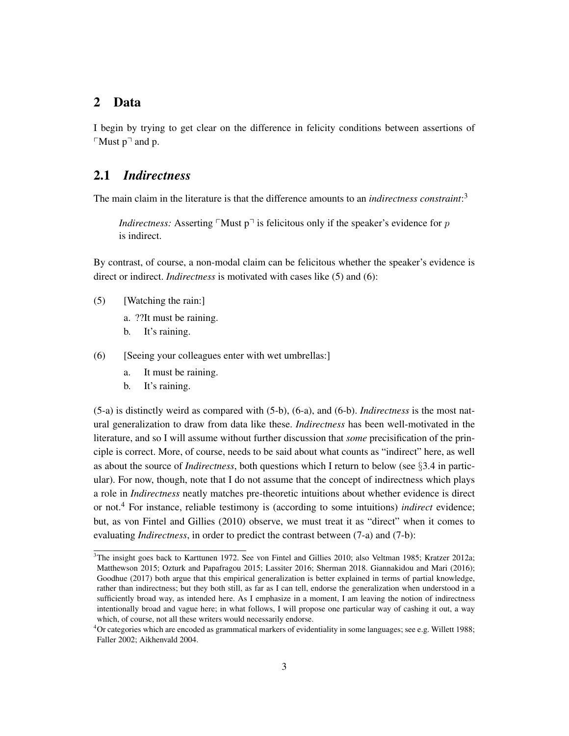# 2 Data

I begin by trying to get clear on the difference in felicity conditions between assertions of  $\Gamma$ Must p $\Gamma$  and p.

# 2.1 *Indirectness*

The main claim in the literature is that the difference amounts to an *indirectness constraint*: [3](#page-0-0)

*Indirectness:* Asserting  $\lceil \text{Must } p \rceil$  is felicitous only if the speaker's evidence for p is indirect.

By contrast, of course, a non-modal claim can be felicitous whether the speaker's evidence is direct or indirect. *Indirectness* is motivated with cases like (5) and (6):

- <span id="page-2-0"></span>(5) [Watching the rain:]
	- a. ??It must be raining.
	- b. It's raining.
- (6) [Seeing your colleagues enter with wet umbrellas:]
	- a. It must be raining.
	- b. It's raining.

[\(5-a\)](#page-2-0) is distinctly weird as compared with (5-b), (6-a), and (6-b). *Indirectness* is the most natural generalization to draw from data like these. *Indirectness* has been well-motivated in the literature, and so I will assume without further discussion that *some* precisification of the principle is correct. More, of course, needs to be said about what counts as "indirect" here, as well as about the source of *Indirectness*, both questions which I return to below (see §[3.4](#page-20-0) in particular). For now, though, note that I do not assume that the concept of indirectness which plays a role in *Indirectness* neatly matches pre-theoretic intuitions about whether evidence is direct or not.[4](#page-0-0) For instance, reliable testimony is (according to some intuitions) *indirect* evidence; but, as [von Fintel and Gillies](#page-38-0) [\(2010\)](#page-38-0) observe, we must treat it as "direct" when it comes to evaluating *Indirectness*, in order to predict the contrast between (7-a) and (7-b):

<sup>&</sup>lt;sup>3</sup>The insight goes back to [Karttunen 1972.](#page-39-1) See [von Fintel and Gillies 2010;](#page-38-0) also [Veltman 1985;](#page-40-0) [Kratzer 2012a;](#page-39-2) [Matthewson 2015;](#page-40-1) [Ozturk and Papafragou 2015;](#page-40-2) [Lassiter 2016;](#page-39-3) [Sherman 2018.](#page-40-3) [Giannakidou and Mari](#page-39-4) [\(2016\)](#page-39-4); [Goodhue](#page-39-5) [\(2017\)](#page-39-5) both argue that this empirical generalization is better explained in terms of partial knowledge, rather than indirectness; but they both still, as far as I can tell, endorse the generalization when understood in a sufficiently broad way, as intended here. As I emphasize in a moment, I am leaving the notion of indirectness intentionally broad and vague here; in what follows, I will propose one particular way of cashing it out, a way which, of course, not all these writers would necessarily endorse.

 $40r$  categories which are encoded as grammatical markers of evidentiality in some languages; see e.g. [Willett 1988;](#page-40-4) [Faller 2002;](#page-38-1) [Aikhenvald 2004.](#page-38-2)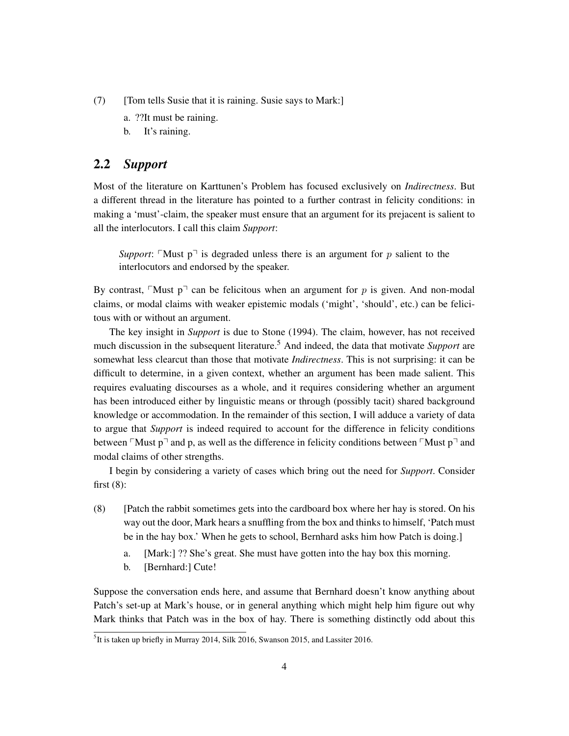- (7) [Tom tells Susie that it is raining. Susie says to Mark:]
	- a. ??It must be raining.
	- b. It's raining.

# 2.2 *Support*

Most of the literature on Karttunen's Problem has focused exclusively on *Indirectness*. But a different thread in the literature has pointed to a further contrast in felicity conditions: in making a 'must'-claim, the speaker must ensure that an argument for its prejacent is salient to all the interlocutors. I call this claim *Support*:

*Support*:  $\lceil M_{\text{M}} \rceil$  is degraded unless there is an argument for p salient to the interlocutors and endorsed by the speaker.

By contrast,  $\lceil \text{Must } p \rceil$  can be felicitous when an argument for p is given. And non-modal claims, or modal claims with weaker epistemic modals ('might', 'should', etc.) can be felicitous with or without an argument.

The key insight in *Support* is due to [Stone](#page-40-5) [\(1994\)](#page-40-5). The claim, however, has not received much discussion in the subsequent literature.[5](#page-0-0) And indeed, the data that motivate *Support* are somewhat less clearcut than those that motivate *Indirectness*. This is not surprising: it can be difficult to determine, in a given context, whether an argument has been made salient. This requires evaluating discourses as a whole, and it requires considering whether an argument has been introduced either by linguistic means or through (possibly tacit) shared background knowledge or accommodation. In the remainder of this section, I will adduce a variety of data to argue that *Support* is indeed required to account for the difference in felicity conditions between  $\ulcorner$  Must p $\urcorner$  and p, as well as the difference in felicity conditions between  $\ulcorner$  Must p $\urcorner$  and modal claims of other strengths.

I begin by considering a variety of cases which bring out the need for *Support*. Consider first (8):

- <span id="page-3-0"></span>(8) [Patch the rabbit sometimes gets into the cardboard box where her hay is stored. On his way out the door, Mark hears a snuffling from the box and thinks to himself, 'Patch must be in the hay box.' When he gets to school, Bernhard asks him how Patch is doing.]
	- a. [Mark:] ?? She's great. She must have gotten into the hay box this morning.
	- b. [Bernhard:] Cute!

Suppose the conversation ends here, and assume that Bernhard doesn't know anything about Patch's set-up at Mark's house, or in general anything which might help him figure out why Mark thinks that Patch was in the box of hay. There is something distinctly odd about this

<sup>&</sup>lt;sup>5</sup>It is taken up briefly in [Murray 2014,](#page-40-6) [Silk 2016,](#page-40-7) [Swanson 2015,](#page-40-8) and [Lassiter 2016.](#page-39-3)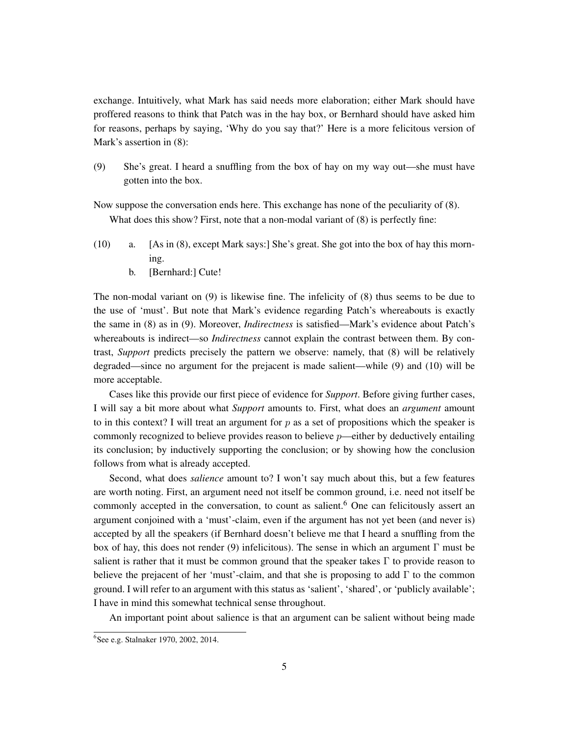exchange. Intuitively, what Mark has said needs more elaboration; either Mark should have proffered reasons to think that Patch was in the hay box, or Bernhard should have asked him for reasons, perhaps by saying, 'Why do you say that?' Here is a more felicitous version of Mark's assertion in (8):

<span id="page-4-0"></span>(9) She's great. I heard a snuffling from the box of hay on my way out—she must have gotten into the box.

Now suppose the conversation ends here. This exchange has none of the peculiarity of [\(8\).](#page-3-0) What does this show? First, note that a non-modal variant of [\(8\)](#page-3-0) is perfectly fine:

- <span id="page-4-1"></span>(10) a. [As in [\(8\),](#page-3-0) except Mark says:] She's great. She got into the box of hay this morning.
	- b. [Bernhard:] Cute!

The non-modal variant on [\(9\)](#page-4-0) is likewise fine. The infelicity of [\(8\)](#page-3-0) thus seems to be due to the use of 'must'. But note that Mark's evidence regarding Patch's whereabouts is exactly the same in [\(8\)](#page-3-0) as in [\(9\).](#page-4-0) Moreover, *Indirectness* is satisfied—Mark's evidence about Patch's whereabouts is indirect—so *Indirectness* cannot explain the contrast between them. By contrast, *Support* predicts precisely the pattern we observe: namely, that [\(8\)](#page-3-0) will be relatively degraded—since no argument for the prejacent is made salient—while [\(9\)](#page-4-0) and [\(10\)](#page-4-1) will be more acceptable.

Cases like this provide our first piece of evidence for *Support*. Before giving further cases, I will say a bit more about what *Support* amounts to. First, what does an *argument* amount to in this context? I will treat an argument for  $p$  as a set of propositions which the speaker is commonly recognized to believe provides reason to believe p—either by deductively entailing its conclusion; by inductively supporting the conclusion; or by showing how the conclusion follows from what is already accepted.

Second, what does *salience* amount to? I won't say much about this, but a few features are worth noting. First, an argument need not itself be common ground, i.e. need not itself be commonly accepted in the conversation, to count as salient.<sup>[6](#page-0-0)</sup> One can felicitously assert an argument conjoined with a 'must'-claim, even if the argument has not yet been (and never is) accepted by all the speakers (if Bernhard doesn't believe me that I heard a snuffling from the box of hay, this does not render [\(9\)](#page-4-0) infelicitous). The sense in which an argument Γ must be salient is rather that it must be common ground that the speaker takes  $\Gamma$  to provide reason to believe the prejacent of her 'must'-claim, and that she is proposing to add  $\Gamma$  to the common ground. I will refer to an argument with this status as 'salient', 'shared', or 'publicly available'; I have in mind this somewhat technical sense throughout.

An important point about salience is that an argument can be salient without being made

<sup>6</sup> See e.g. [Stalnaker 1970,](#page-40-9) [2002,](#page-40-10) [2014.](#page-40-11)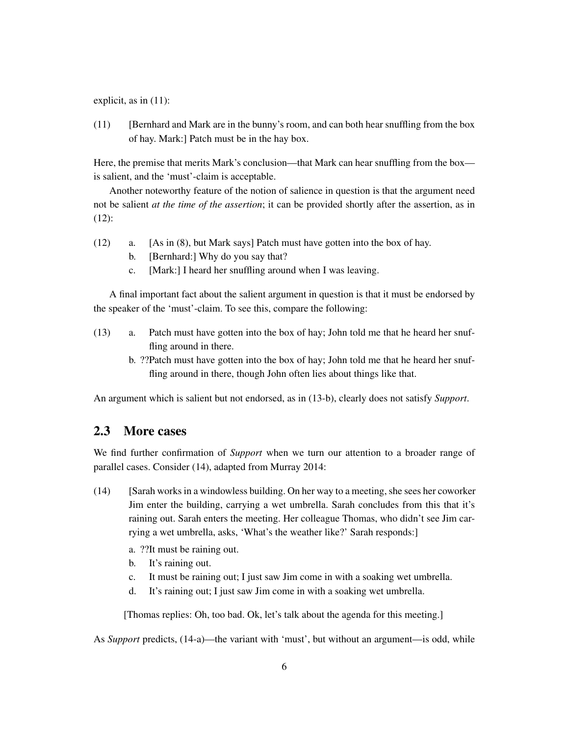explicit, as in (11):

(11) [Bernhard and Mark are in the bunny's room, and can both hear snuffling from the box of hay. Mark:] Patch must be in the hay box.

Here, the premise that merits Mark's conclusion—that Mark can hear snuffling from the box is salient, and the 'must'-claim is acceptable.

Another noteworthy feature of the notion of salience in question is that the argument need not be salient *at the time of the assertion*; it can be provided shortly after the assertion, as in (12):

- (12) a. [As in [\(8\),](#page-3-0) but Mark says] Patch must have gotten into the box of hay.
	- b. [Bernhard:] Why do you say that?
	- c. [Mark:] I heard her snuffling around when I was leaving.

A final important fact about the salient argument in question is that it must be endorsed by the speaker of the 'must'-claim. To see this, compare the following:

- (13) a. Patch must have gotten into the box of hay; John told me that he heard her snuffling around in there.
	- b. ??Patch must have gotten into the box of hay; John told me that he heard her snuffling around in there, though John often lies about things like that.

An argument which is salient but not endorsed, as in (13-b), clearly does not satisfy *Support*.

# 2.3 More cases

We find further confirmation of *Support* when we turn our attention to a broader range of parallel cases. Consider (14), adapted from [Murray 2014:](#page-40-6)

- (14) [Sarah works in a windowless building. On her way to a meeting, she sees her coworker Jim enter the building, carrying a wet umbrella. Sarah concludes from this that it's raining out. Sarah enters the meeting. Her colleague Thomas, who didn't see Jim carrying a wet umbrella, asks, 'What's the weather like?' Sarah responds:]
	- a. ??It must be raining out.
	- b. It's raining out.
	- c. It must be raining out; I just saw Jim come in with a soaking wet umbrella.
	- d. It's raining out; I just saw Jim come in with a soaking wet umbrella.

[Thomas replies: Oh, too bad. Ok, let's talk about the agenda for this meeting.]

As *Support* predicts, (14-a)—the variant with 'must', but without an argument—is odd, while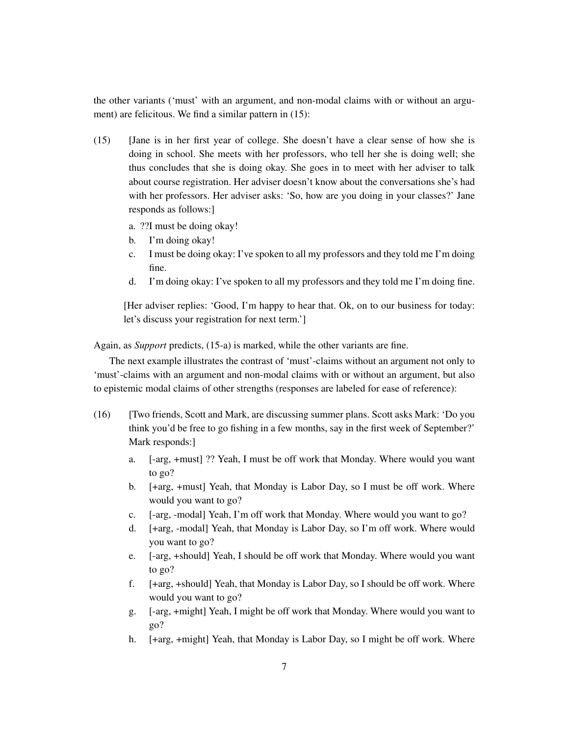the other variants ('must' with an argument, and non-modal claims with or without an argument) are felicitous. We find a similar pattern in (15):

- (15) [Jane is in her first year of college. She doesn't have a clear sense of how she is doing in school. She meets with her professors, who tell her she is doing well; she thus concludes that she is doing okay. She goes in to meet with her adviser to talk about course registration. Her adviser doesn't know about the conversations she's had with her professors. Her adviser asks: 'So, how are you doing in your classes?' Jane responds as follows:]
	- a. ??I must be doing okay!
	- b. I'm doing okay!
	- c. I must be doing okay: I've spoken to all my professors and they told me I'm doing fine.
	- d. I'm doing okay: I've spoken to all my professors and they told me I'm doing fine.

[Her adviser replies: 'Good, I'm happy to hear that. Ok, on to our business for today: let's discuss your registration for next term.']

Again, as *Support* predicts, (15-a) is marked, while the other variants are fine.

The next example illustrates the contrast of 'must'-claims without an argument not only to 'must'-claims with an argument and non-modal claims with or without an argument, but also to epistemic modal claims of other strengths (responses are labeled for ease of reference):

- <span id="page-6-0"></span>(16) [Two friends, Scott and Mark, are discussing summer plans. Scott asks Mark: 'Do you think you'd be free to go fishing in a few months, say in the first week of September?' Mark responds:]
	- a. [-arg, +must] ?? Yeah, I must be off work that Monday. Where would you want to go?
	- b. [+arg, +must] Yeah, that Monday is Labor Day, so I must be off work. Where would you want to go?
	- c. [-arg, -modal] Yeah, I'm off work that Monday. Where would you want to go?
	- d. [+arg, -modal] Yeah, that Monday is Labor Day, so I'm off work. Where would you want to go?
	- e. [-arg, +should] Yeah, I should be off work that Monday. Where would you want to go?
	- f. [+arg, +should] Yeah, that Monday is Labor Day, so I should be off work. Where would you want to go?
	- g. [-arg, +might] Yeah, I might be off work that Monday. Where would you want to go?
	- h. [+arg, +might] Yeah, that Monday is Labor Day, so I might be off work. Where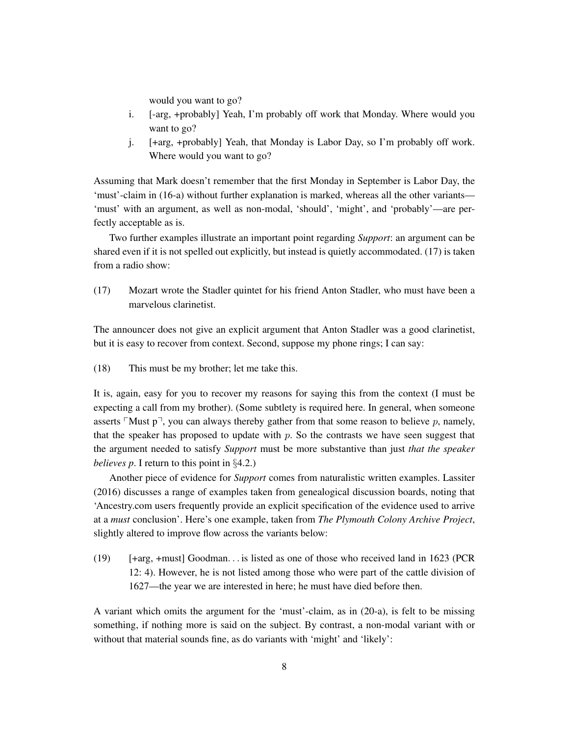would you want to go?

- i. [-arg, +probably] Yeah, I'm probably off work that Monday. Where would you want to go?
- j. [+arg, +probably] Yeah, that Monday is Labor Day, so I'm probably off work. Where would you want to go?

Assuming that Mark doesn't remember that the first Monday in September is Labor Day, the 'must'-claim in (16-a) without further explanation is marked, whereas all the other variants— 'must' with an argument, as well as non-modal, 'should', 'might', and 'probably'—are perfectly acceptable as is.

Two further examples illustrate an important point regarding *Support*: an argument can be shared even if it is not spelled out explicitly, but instead is quietly accommodated. (17) is taken from a radio show:

(17) Mozart wrote the Stadler quintet for his friend Anton Stadler, who must have been a marvelous clarinetist.

The announcer does not give an explicit argument that Anton Stadler was a good clarinetist, but it is easy to recover from context. Second, suppose my phone rings; I can say:

(18) This must be my brother; let me take this.

It is, again, easy for you to recover my reasons for saying this from the context (I must be expecting a call from my brother). (Some subtlety is required here. In general, when someone asserts  $\Gamma$ Must p $\Gamma$ , you can always thereby gather from that some reason to believe p, namely, that the speaker has proposed to update with  $p$ . So the contrasts we have seen suggest that the argument needed to satisfy *Support* must be more substantive than just *that the speaker believes p*. I return to this point in §[4.2.](#page-27-0))

Another piece of evidence for *Support* comes from naturalistic written examples. [Lassiter](#page-39-3) [\(2016\)](#page-39-3) discusses a range of examples taken from genealogical discussion boards, noting that 'Ancestry.com users frequently provide an explicit specification of the evidence used to arrive at a *must* conclusion'. Here's one example, taken from *The Plymouth Colony Archive Project*, slightly altered to improve flow across the variants below:

(19) [+arg, +must] Goodman. . . is listed as one of those who received land in 1623 (PCR 12: 4). However, he is not listed among those who were part of the cattle division of 1627—the year we are interested in here; he must have died before then.

A variant which omits the argument for the 'must'-claim, as in (20-a), is felt to be missing something, if nothing more is said on the subject. By contrast, a non-modal variant with or without that material sounds fine, as do variants with 'might' and 'likely':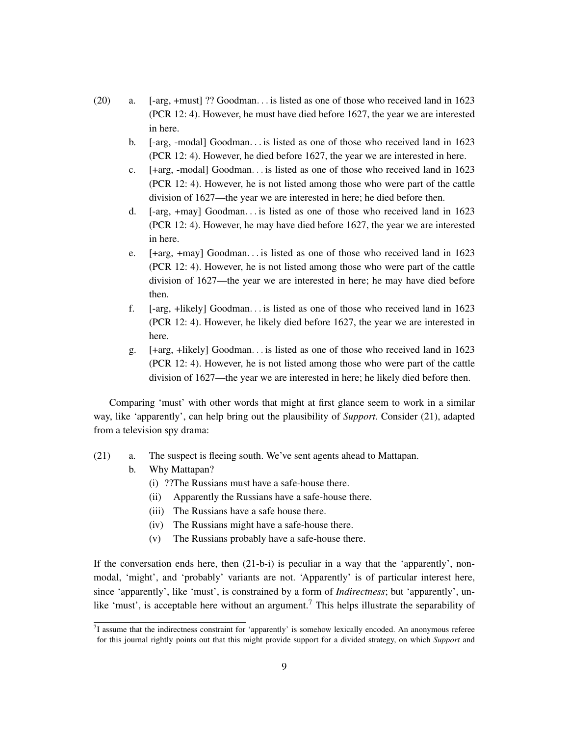- (20) a. [-arg, +must] ?? Goodman. . . is listed as one of those who received land in 1623 (PCR 12: 4). However, he must have died before 1627, the year we are interested in here.
	- b. [-arg, -modal] Goodman. . . is listed as one of those who received land in 1623 (PCR 12: 4). However, he died before 1627, the year we are interested in here.
	- c. [+arg, -modal] Goodman. . . is listed as one of those who received land in 1623 (PCR 12: 4). However, he is not listed among those who were part of the cattle division of 1627—the year we are interested in here; he died before then.
	- d. [-arg, +may] Goodman. . . is listed as one of those who received land in 1623 (PCR 12: 4). However, he may have died before 1627, the year we are interested in here.
	- e. [+arg, +may] Goodman. . . is listed as one of those who received land in 1623 (PCR 12: 4). However, he is not listed among those who were part of the cattle division of 1627—the year we are interested in here; he may have died before then.
	- f. [-arg, +likely] Goodman. . . is listed as one of those who received land in 1623 (PCR 12: 4). However, he likely died before 1627, the year we are interested in here.
	- g. [+arg, +likely] Goodman. . . is listed as one of those who received land in 1623 (PCR 12: 4). However, he is not listed among those who were part of the cattle division of 1627—the year we are interested in here; he likely died before then.

Comparing 'must' with other words that might at first glance seem to work in a similar way, like 'apparently', can help bring out the plausibility of *Support*. Consider (21), adapted from a television spy drama:

- <span id="page-8-1"></span><span id="page-8-0"></span>(21) a. The suspect is fleeing south. We've sent agents ahead to Mattapan.
	- b. Why Mattapan?
		- (i) ??The Russians must have a safe-house there.
		- (ii) Apparently the Russians have a safe-house there.
		- (iii) The Russians have a safe house there.
		- (iv) The Russians might have a safe-house there.
		- (v) The Russians probably have a safe-house there.

If the conversation ends here, then  $(21-b-i)$  is peculiar in a way that the 'apparently', nonmodal, 'might', and 'probably' variants are not. 'Apparently' is of particular interest here, since 'apparently', like 'must', is constrained by a form of *Indirectness*; but 'apparently', un-like 'must', is acceptable here without an argument.<sup>[7](#page-0-0)</sup> This helps illustrate the separability of

<sup>&</sup>lt;sup>7</sup>I assume that the indirectness constraint for 'apparently' is somehow lexically encoded. An anonymous referee for this journal rightly points out that this might provide support for a divided strategy, on which *Support* and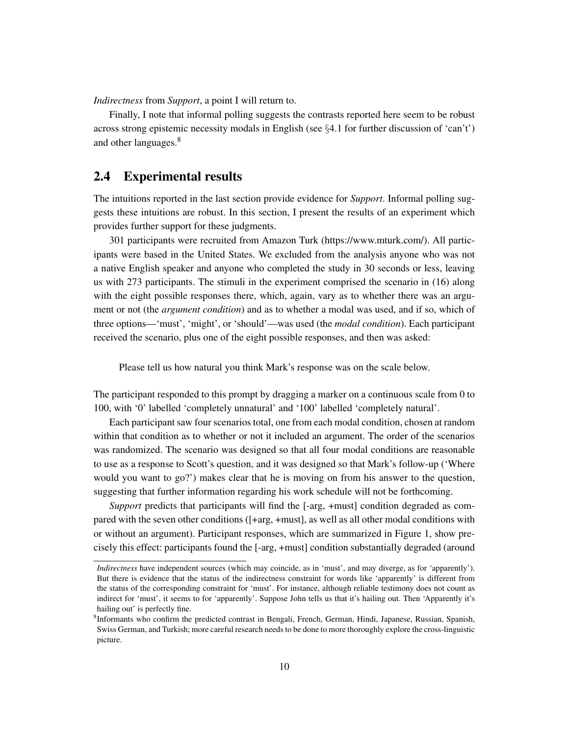*Indirectness* from *Support*, a point I will return to.

Finally, I note that informal polling suggests the contrasts reported here seem to be robust across strong epistemic necessity modals in English (see §[4.1](#page-25-0) for further discussion of 'can't') and other languages.<sup>[8](#page-0-0)</sup>

#### 2.4 Experimental results

The intuitions reported in the last section provide evidence for *Support*. Informal polling suggests these intuitions are robust. In this section, I present the results of an experiment which provides further support for these judgments.

301 participants were recruited from Amazon Turk (https://www.mturk.com/). All participants were based in the United States. We excluded from the analysis anyone who was not a native English speaker and anyone who completed the study in 30 seconds or less, leaving us with 273 participants. The stimuli in the experiment comprised the scenario in [\(16\)](#page-6-0) along with the eight possible responses there, which, again, vary as to whether there was an argument or not (the *argument condition*) and as to whether a modal was used, and if so, which of three options—'must', 'might', or 'should'—was used (the *modal condition*). Each participant received the scenario, plus one of the eight possible responses, and then was asked:

Please tell us how natural you think Mark's response was on the scale below.

The participant responded to this prompt by dragging a marker on a continuous scale from 0 to 100, with '0' labelled 'completely unnatural' and '100' labelled 'completely natural'.

Each participant saw four scenarios total, one from each modal condition, chosen at random within that condition as to whether or not it included an argument. The order of the scenarios was randomized. The scenario was designed so that all four modal conditions are reasonable to use as a response to Scott's question, and it was designed so that Mark's follow-up ('Where would you want to go?') makes clear that he is moving on from his answer to the question, suggesting that further information regarding his work schedule will not be forthcoming.

*Support* predicts that participants will find the [-arg, +must] condition degraded as compared with the seven other conditions ([+arg, +must], as well as all other modal conditions with or without an argument). Participant responses, which are summarized in Figure [1,](#page-10-0) show precisely this effect: participants found the [-arg, +must] condition substantially degraded (around

*Indirectness* have independent sources (which may coincide, as in 'must', and may diverge, as for 'apparently'). But there is evidence that the status of the indirectness constraint for words like 'apparently' is different from the status of the corresponding constraint for 'must'. For instance, although reliable testimony does not count as indirect for 'must', it seems to for 'apparently'. Suppose John tells us that it's hailing out. Then 'Apparently it's hailing out' is perfectly fine.

<sup>8</sup> Informants who confirm the predicted contrast in Bengali, French, German, Hindi, Japanese, Russian, Spanish, Swiss German, and Turkish; more careful research needs to be done to more thoroughly explore the cross-linguistic picture.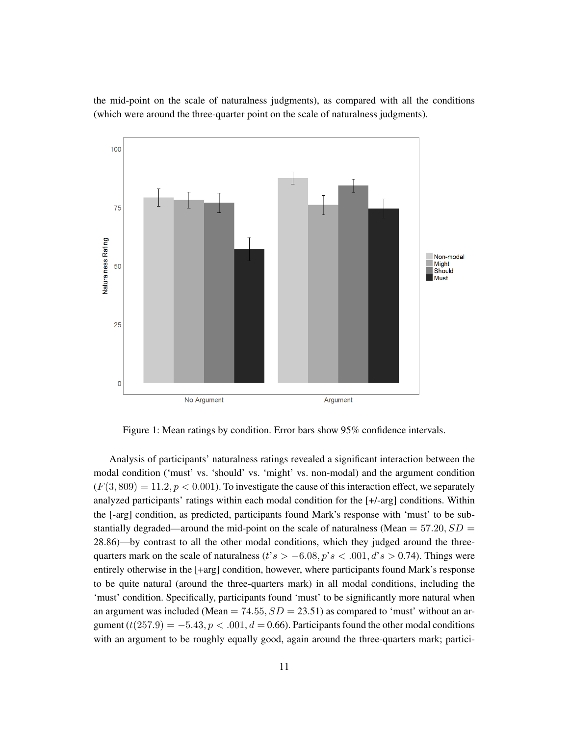the mid-point on the scale of naturalness judgments), as compared with all the conditions (which were around the three-quarter point on the scale of naturalness judgments).



<span id="page-10-0"></span>Figure 1: Mean ratings by condition. Error bars show 95% confidence intervals.

Analysis of participants' naturalness ratings revealed a significant interaction between the modal condition ('must' vs. 'should' vs. 'might' vs. non-modal) and the argument condition  $(F(3, 809) = 11.2, p < 0.001)$ . To investigate the cause of this interaction effect, we separately analyzed participants' ratings within each modal condition for the [+/-arg] conditions. Within the [-arg] condition, as predicted, participants found Mark's response with 'must' to be substantially degraded—around the mid-point on the scale of naturalness (Mean  $= 57.20, SD =$ 28.86)—by contrast to all the other modal conditions, which they judged around the threequarters mark on the scale of naturalness  $(t's > -6.08, p's < .001, d's > 0.74)$ . Things were entirely otherwise in the [+arg] condition, however, where participants found Mark's response to be quite natural (around the three-quarters mark) in all modal conditions, including the 'must' condition. Specifically, participants found 'must' to be significantly more natural when an argument was included (Mean  $= 74.55, SD = 23.51$ ) as compared to 'must' without an argument  $(t(257.9) = -5.43, p < .001, d = 0.66)$ . Participants found the other modal conditions with an argument to be roughly equally good, again around the three-quarters mark; partici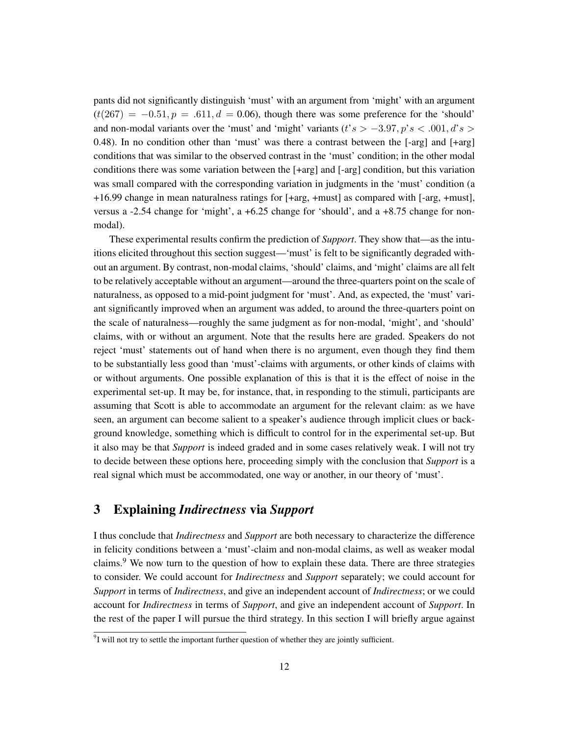pants did not significantly distinguish 'must' with an argument from 'might' with an argument  $(t(267) = -0.51, p = .611, d = 0.06)$ , though there was some preference for the 'should' and non-modal variants over the 'must' and 'might' variants ( $t's > -3.97, p's < .001, d's >$ 0.48). In no condition other than 'must' was there a contrast between the  $[-arg]$  and  $[-arg]$ conditions that was similar to the observed contrast in the 'must' condition; in the other modal conditions there was some variation between the [+arg] and [-arg] condition, but this variation was small compared with the corresponding variation in judgments in the 'must' condition (a +16.99 change in mean naturalness ratings for [+arg, +must] as compared with [-arg, +must], versus a -2.54 change for 'might', a +6.25 change for 'should', and a +8.75 change for nonmodal).

These experimental results confirm the prediction of *Support*. They show that—as the intuitions elicited throughout this section suggest—'must' is felt to be significantly degraded without an argument. By contrast, non-modal claims, 'should' claims, and 'might' claims are all felt to be relatively acceptable without an argument—around the three-quarters point on the scale of naturalness, as opposed to a mid-point judgment for 'must'. And, as expected, the 'must' variant significantly improved when an argument was added, to around the three-quarters point on the scale of naturalness—roughly the same judgment as for non-modal, 'might', and 'should' claims, with or without an argument. Note that the results here are graded. Speakers do not reject 'must' statements out of hand when there is no argument, even though they find them to be substantially less good than 'must'-claims with arguments, or other kinds of claims with or without arguments. One possible explanation of this is that it is the effect of noise in the experimental set-up. It may be, for instance, that, in responding to the stimuli, participants are assuming that Scott is able to accommodate an argument for the relevant claim: as we have seen, an argument can become salient to a speaker's audience through implicit clues or background knowledge, something which is difficult to control for in the experimental set-up. But it also may be that *Support* is indeed graded and in some cases relatively weak. I will not try to decide between these options here, proceeding simply with the conclusion that *Support* is a real signal which must be accommodated, one way or another, in our theory of 'must'.

# 3 Explaining *Indirectness* via *Support*

I thus conclude that *Indirectness* and *Support* are both necessary to characterize the difference in felicity conditions between a 'must'-claim and non-modal claims, as well as weaker modal claims.<sup>[9](#page-0-0)</sup> We now turn to the question of how to explain these data. There are three strategies to consider. We could account for *Indirectness* and *Support* separately; we could account for *Support* in terms of *Indirectness*, and give an independent account of *Indirectness*; or we could account for *Indirectness* in terms of *Support*, and give an independent account of *Support*. In the rest of the paper I will pursue the third strategy. In this section I will briefly argue against

 $9$ I will not try to settle the important further question of whether they are jointly sufficient.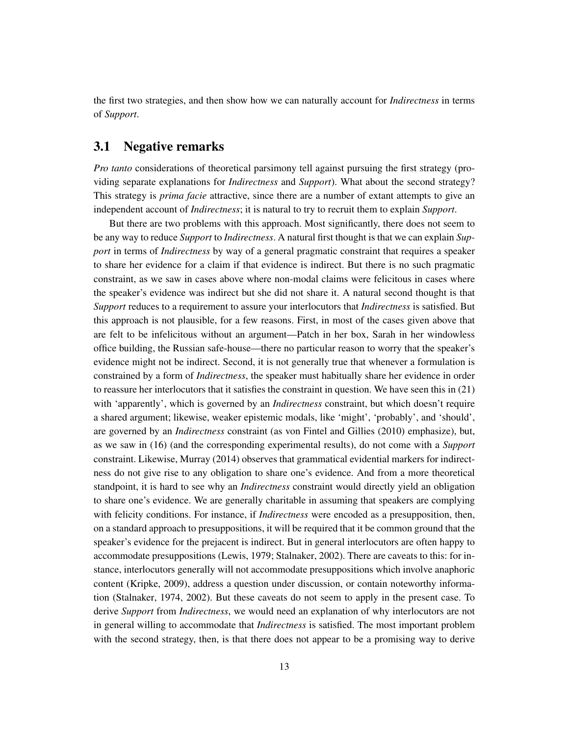the first two strategies, and then show how we can naturally account for *Indirectness* in terms of *Support*.

#### <span id="page-12-0"></span>3.1 Negative remarks

*Pro tanto* considerations of theoretical parsimony tell against pursuing the first strategy (providing separate explanations for *Indirectness* and *Support*). What about the second strategy? This strategy is *prima facie* attractive, since there are a number of extant attempts to give an independent account of *Indirectness*; it is natural to try to recruit them to explain *Support*.

But there are two problems with this approach. Most significantly, there does not seem to be any way to reduce *Support* to *Indirectness*. A natural first thought is that we can explain *Support* in terms of *Indirectness* by way of a general pragmatic constraint that requires a speaker to share her evidence for a claim if that evidence is indirect. But there is no such pragmatic constraint, as we saw in cases above where non-modal claims were felicitous in cases where the speaker's evidence was indirect but she did not share it. A natural second thought is that *Support* reduces to a requirement to assure your interlocutors that *Indirectness* is satisfied. But this approach is not plausible, for a few reasons. First, in most of the cases given above that are felt to be infelicitous without an argument—Patch in her box, Sarah in her windowless office building, the Russian safe-house—there no particular reason to worry that the speaker's evidence might not be indirect. Second, it is not generally true that whenever a formulation is constrained by a form of *Indirectness*, the speaker must habitually share her evidence in order to reassure her interlocutors that it satisfies the constraint in question. We have seen this in [\(21\)](#page-8-1) with 'apparently', which is governed by an *Indirectness* constraint, but which doesn't require a shared argument; likewise, weaker epistemic modals, like 'might', 'probably', and 'should', are governed by an *Indirectness* constraint (as [von Fintel and Gillies](#page-38-0) [\(2010\)](#page-38-0) emphasize), but, as we saw in [\(16\)](#page-6-0) (and the corresponding experimental results), do not come with a *Support* constraint. Likewise, [Murray](#page-40-6) [\(2014\)](#page-40-6) observes that grammatical evidential markers for indirectness do not give rise to any obligation to share one's evidence. And from a more theoretical standpoint, it is hard to see why an *Indirectness* constraint would directly yield an obligation to share one's evidence. We are generally charitable in assuming that speakers are complying with felicity conditions. For instance, if *Indirectness* were encoded as a presupposition, then, on a standard approach to presuppositions, it will be required that it be common ground that the speaker's evidence for the prejacent is indirect. But in general interlocutors are often happy to accommodate presuppositions [\(Lewis, 1979;](#page-39-6) [Stalnaker, 2002\)](#page-40-10). There are caveats to this: for instance, interlocutors generally will not accommodate presuppositions which involve anaphoric content [\(Kripke, 2009\)](#page-39-7), address a question under discussion, or contain noteworthy information [\(Stalnaker, 1974,](#page-40-12) [2002\)](#page-40-10). But these caveats do not seem to apply in the present case. To derive *Support* from *Indirectness*, we would need an explanation of why interlocutors are not in general willing to accommodate that *Indirectness* is satisfied. The most important problem with the second strategy, then, is that there does not appear to be a promising way to derive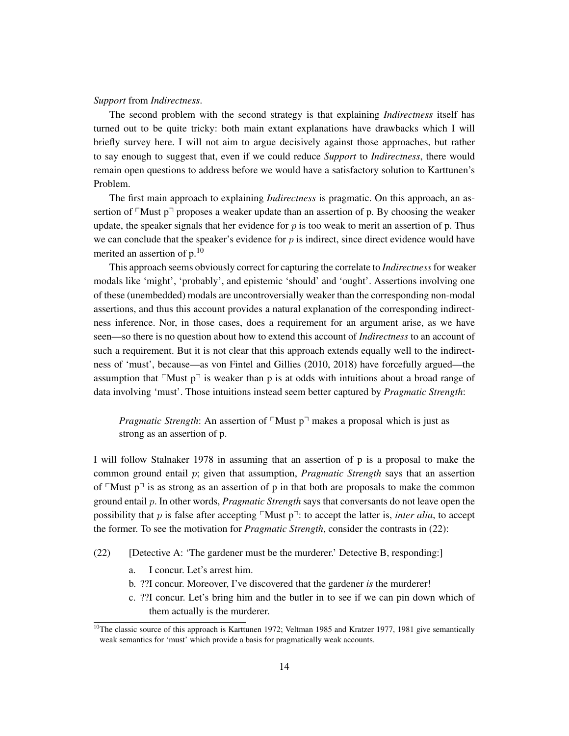#### *Support* from *Indirectness*.

The second problem with the second strategy is that explaining *Indirectness* itself has turned out to be quite tricky: both main extant explanations have drawbacks which I will briefly survey here. I will not aim to argue decisively against those approaches, but rather to say enough to suggest that, even if we could reduce *Support* to *Indirectness*, there would remain open questions to address before we would have a satisfactory solution to Karttunen's Problem.

The first main approach to explaining *Indirectness* is pragmatic. On this approach, an assertion of  $\ulcorner$  Must p $\urcorner$  proposes a weaker update than an assertion of p. By choosing the weaker update, the speaker signals that her evidence for  $p$  is too weak to merit an assertion of  $p$ . Thus we can conclude that the speaker's evidence for  $p$  is indirect, since direct evidence would have merited an assertion of  $p<sup>10</sup>$  $p<sup>10</sup>$  $p<sup>10</sup>$ 

This approach seems obviously correct for capturing the correlate to *Indirectness*for weaker modals like 'might', 'probably', and epistemic 'should' and 'ought'. Assertions involving one of these (unembedded) modals are uncontroversially weaker than the corresponding non-modal assertions, and thus this account provides a natural explanation of the corresponding indirectness inference. Nor, in those cases, does a requirement for an argument arise, as we have seen—so there is no question about how to extend this account of *Indirectness* to an account of such a requirement. But it is not clear that this approach extends equally well to the indirectness of 'must', because—as [von Fintel and Gillies](#page-38-0) [\(2010,](#page-38-0) [2018\)](#page-38-3) have forcefully argued—the assumption that  $\lceil \text{Must } p \rceil$  is weaker than p is at odds with intuitions about a broad range of data involving 'must'. Those intuitions instead seem better captured by *Pragmatic Strength*:

*Pragmatic Strength*: An assertion of  $\lceil \text{Must } p \rceil$  makes a proposal which is just as strong as an assertion of p.

I will follow [Stalnaker 1978](#page-40-13) in assuming that an assertion of p is a proposal to make the common ground entail p; given that assumption, *Pragmatic Strength* says that an assertion of  $\ulcorner$ Must p $\urcorner$  is as strong as an assertion of p in that both are proposals to make the common ground entail p. In other words, *Pragmatic Strength* says that conversants do not leave open the possibility that  $p$  is false after accepting  $\nabla$ Must  $p\vec{\ }$ : to accept the latter is, *inter alia*, to accept the former. To see the motivation for *Pragmatic Strength*, consider the contrasts in (22):

- <span id="page-13-0"></span>(22) [Detective A: 'The gardener must be the murderer.' Detective B, responding:]
	- a. I concur. Let's arrest him.
	- b. ??I concur. Moreover, I've discovered that the gardener *is* the murderer!
	- c. ??I concur. Let's bring him and the butler in to see if we can pin down which of them actually is the murderer.

<sup>&</sup>lt;sup>10</sup>The classic source of this approach is [Karttunen 1972;](#page-39-1) [Veltman 1985](#page-40-0) and [Kratzer 1977,](#page-39-8) [1981](#page-39-9) give semantically weak semantics for 'must' which provide a basis for pragmatically weak accounts.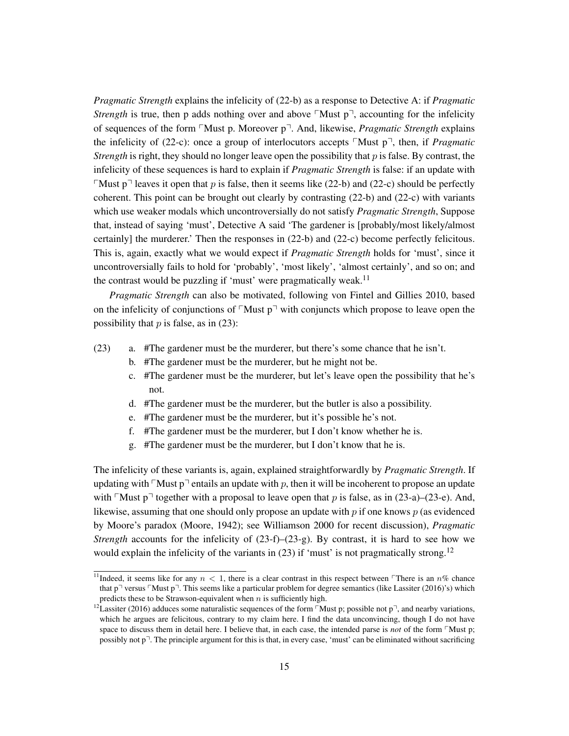*Pragmatic Strength* explains the infelicity of (22-b) as a response to Detective A: if *Pragmatic Strength* is true, then p adds nothing over and above  $\lceil \text{Must } p \rceil$ , accounting for the infelicity of sequences of the form Must p. Moreover p<sup>-1</sup>. And, likewise, *Pragmatic Strength* explains the infelicity of (22-c): once a group of interlocutors accepts  $\lceil$  Must  $p \rceil$ , then, if *Pragmatic Strength* is right, they should no longer leave open the possibility that p is false. By contrast, the infelicity of these sequences is hard to explain if *Pragmatic Strength* is false: if an update with Must p<sup> $\Box$ </sup> leaves it open that p is false, then it seems like (22-b) and (22-c) should be perfectly coherent. This point can be brought out clearly by contrasting (22-b) and (22-c) with variants which use weaker modals which uncontroversially do not satisfy *Pragmatic Strength*, Suppose that, instead of saying 'must', Detective A said 'The gardener is [probably/most likely/almost certainly] the murderer.' Then the responses in (22-b) and (22-c) become perfectly felicitous. This is, again, exactly what we would expect if *Pragmatic Strength* holds for 'must', since it uncontroversially fails to hold for 'probably', 'most likely', 'almost certainly', and so on; and the contrast would be puzzling if 'must' were pragmatically weak.<sup>[11](#page-0-0)</sup>

*Pragmatic Strength* can also be motivated, following [von Fintel and Gillies 2010,](#page-38-0) based on the infelicity of conjunctions of  $\lceil \text{Must } p \rceil$  with conjuncts which propose to leave open the possibility that  $p$  is false, as in (23):

- <span id="page-14-0"></span>(23) a. #The gardener must be the murderer, but there's some chance that he isn't.
	- b. #The gardener must be the murderer, but he might not be.
	- c. #The gardener must be the murderer, but let's leave open the possibility that he's not.
	- d. #The gardener must be the murderer, but the butler is also a possibility.
	- e. #The gardener must be the murderer, but it's possible he's not.
	- f. #The gardener must be the murderer, but I don't know whether he is.
	- g. #The gardener must be the murderer, but I don't know that he is.

The infelicity of these variants is, again, explained straightforwardly by *Pragmatic Strength*. If updating with  $\lceil \text{Must } p \rceil$  entails an update with p, then it will be incoherent to propose an update with  $\ulcorner$  Must p $\urcorner$  together with a proposal to leave open that p is false, as in (23-a)–(23-e). And, likewise, assuming that one should only propose an update with  $p$  if one knows  $p$  (as evidenced by Moore's paradox [\(Moore, 1942\)](#page-40-14); see [Williamson 2000](#page-40-15) for recent discussion), *Pragmatic Strength* accounts for the infelicity of (23-f)–(23-g). By contrast, it is hard to see how we would explain the infelicity of the variants in  $(23)$  if 'must' is not pragmatically strong.<sup>[12](#page-0-0)</sup>

<sup>&</sup>lt;sup>11</sup>Indeed, it seems like for any  $n < 1$ , there is a clear contrast in this respect between <sup>r</sup>There is an  $n\%$  chance that  $p<sup>7</sup>$  versus  $\lceil$  Must p $\lceil$ . This seems like a particular problem for degree semantics (like [Lassiter](#page-39-3) [\(2016\)](#page-39-3)'s) which predicts these to be Strawson-equivalent when  $n$  is sufficiently high.

<sup>&</sup>lt;sup>12</sup>[Lassiter](#page-39-3) [\(2016\)](#page-39-3) adduces some naturalistic sequences of the form  $\lceil$ Must p; possible not p $\lceil$ , and nearby variations, which he argues are felicitous, contrary to my claim here. I find the data unconvincing, though I do not have space to discuss them in detail here. I believe that, in each case, the intended parse is *not* of the form Must p; possibly not  $p<sup>-1</sup>$ . The principle argument for this is that, in every case, 'must' can be eliminated without sacrificing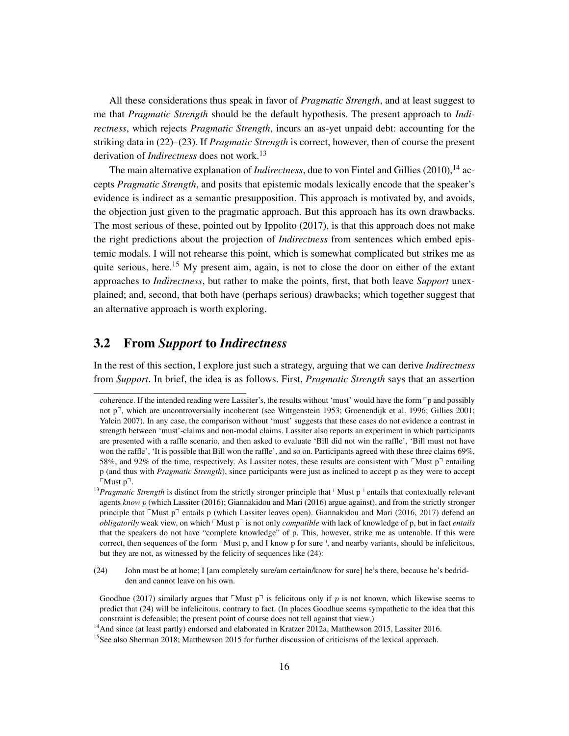All these considerations thus speak in favor of *Pragmatic Strength*, and at least suggest to me that *Pragmatic Strength* should be the default hypothesis. The present approach to *Indirectness*, which rejects *Pragmatic Strength*, incurs an as-yet unpaid debt: accounting for the striking data in [\(22\)–](#page-13-0)[\(23\).](#page-14-0) If *Pragmatic Strength* is correct, however, then of course the present derivation of *Indirectness* does not work.<sup>[13](#page-0-0)</sup>

The main alternative explanation of *Indirectness*, due to [von Fintel and Gillies](#page-38-0)  $(2010)^{14}$  $(2010)^{14}$  $(2010)^{14}$  $(2010)^{14}$  accepts *Pragmatic Strength*, and posits that epistemic modals lexically encode that the speaker's evidence is indirect as a semantic presupposition. This approach is motivated by, and avoids, the objection just given to the pragmatic approach. But this approach has its own drawbacks. The most serious of these, pointed out by [Ippolito](#page-39-10) [\(2017\)](#page-39-10), is that this approach does not make the right predictions about the projection of *Indirectness* from sentences which embed epistemic modals. I will not rehearse this point, which is somewhat complicated but strikes me as quite serious, here.<sup>[15](#page-0-0)</sup> My present aim, again, is not to close the door on either of the extant approaches to *Indirectness*, but rather to make the points, first, that both leave *Support* unexplained; and, second, that both have (perhaps serious) drawbacks; which together suggest that an alternative approach is worth exploring.

### 3.2 From *Support* to *Indirectness*

In the rest of this section, I explore just such a strategy, arguing that we can derive *Indirectness* from *Support*. In brief, the idea is as follows. First, *Pragmatic Strength* says that an assertion

<span id="page-15-0"></span>(24) John must be at home; I [am completely sure/am certain/know for sure] he's there, because he's bedridden and cannot leave on his own.

coherence. If the intended reading were Lassiter's, the results without 'must' would have the form  $\ulcorner$  p and possibly not p<sup>-</sup>, which are uncontroversially incoherent (see [Wittgenstein 1953;](#page-40-16) [Groenendijk et al. 1996;](#page-39-11) [Gillies 2001;](#page-39-12) [Yalcin 2007\)](#page-41-0). In any case, the comparison without 'must' suggests that these cases do not evidence a contrast in strength between 'must'-claims and non-modal claims. Lassiter also reports an experiment in which participants are presented with a raffle scenario, and then asked to evaluate 'Bill did not win the raffle', 'Bill must not have won the raffle', 'It is possible that Bill won the raffle', and so on. Participants agreed with these three claims 69%, 58%, and 92% of the time, respectively. As Lassiter notes, these results are consistent with  $\lceil \text{Must } p \rceil$  entailing p (and thus with *Pragmatic Strength*), since participants were just as inclined to accept p as they were to accept  $\sqrt{\frac{M}{n}}$ 

<sup>&</sup>lt;sup>13</sup>Pragmatic Strength is distinct from the strictly stronger principle that  $\ulcorner$  Must p $\urcorner$  entails that contextually relevant agents *know* p (which [Lassiter](#page-39-3) [\(2016\)](#page-39-3); [Giannakidou and Mari](#page-39-4) [\(2016\)](#page-39-4) argue against), and from the strictly stronger principle that  $\lceil$ Must p $\rceil$  entails p (which Lassiter leaves open). [Giannakidou and Mari](#page-39-4) [\(2016,](#page-39-4) [2017\)](#page-39-13) defend an *obligatorily* weak view, on which  $\lceil \text{Must } p \rceil$  is not only *compatible* with lack of knowledge of p, but in fact *entails* that the speakers do not have "complete knowledge" of p. This, however, strike me as untenable. If this were correct, then sequences of the form  $\nabla$ Must p, and I know p for sure $\nabla$ , and nearby variants, should be infelicitous, but they are not, as witnessed by the felicity of sequences like (24):

[Goodhue](#page-39-5) [\(2017\)](#page-39-5) similarly argues that  $\nabla$  Must p<sup> $\lnot$ </sup> is felicitous only if p is not known, which likewise seems to predict that [\(24\)](#page-15-0) will be infelicitous, contrary to fact. (In places Goodhue seems sympathetic to the idea that this constraint is defeasible; the present point of course does not tell against that view.)

<sup>&</sup>lt;sup>14</sup> And since (at least partly) endorsed and elaborated in [Kratzer 2012a,](#page-39-2) [Matthewson 2015,](#page-40-1) [Lassiter 2016.](#page-39-3)

<sup>&</sup>lt;sup>15</sup>See also [Sherman 2018;](#page-40-3) [Matthewson 2015](#page-40-1) for further discussion of criticisms of the lexical approach.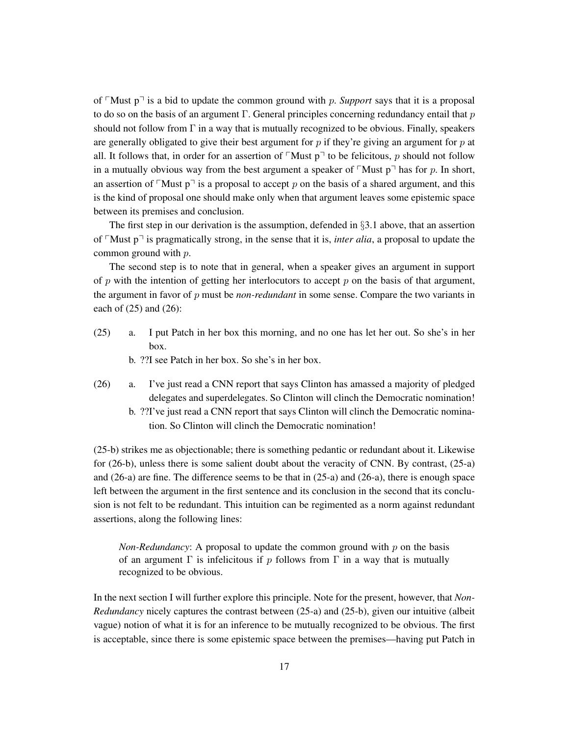of  $\lceil Must \rceil$  is a bid to update the common ground with p. *Support* says that it is a proposal to do so on the basis of an argument Γ. General principles concerning redundancy entail that  $p$ should not follow from  $\Gamma$  in a way that is mutually recognized to be obvious. Finally, speakers are generally obligated to give their best argument for  $p$  if they're giving an argument for  $p$  at all. It follows that, in order for an assertion of  $\ulcorner$  Must p $\urcorner$  to be felicitous, p should not follow in a mutually obvious way from the best argument a speaker of  $\ulcorner$  Must p $\urcorner$  has for p. In short, an assertion of  $\ulcorner$  Must p $\urcorner$  is a proposal to accept p on the basis of a shared argument, and this is the kind of proposal one should make only when that argument leaves some epistemic space between its premises and conclusion.

The first step in our derivation is the assumption, defended in  $\S 3.1$  $\S 3.1$  above, that an assertion of  $\ulcorner$ Must p $\urcorner$  is pragmatically strong, in the sense that it is, *inter alia*, a proposal to update the common ground with p.

The second step is to note that in general, when a speaker gives an argument in support of  $p$  with the intention of getting her interlocutors to accept  $p$  on the basis of that argument, the argument in favor of p must be *non-redundant* in some sense. Compare the two variants in each of (25) and (26):

- <span id="page-16-2"></span><span id="page-16-0"></span>(25) a. I put Patch in her box this morning, and no one has let her out. So she's in her box.
	- b. ??I see Patch in her box. So she's in her box.
- <span id="page-16-3"></span><span id="page-16-1"></span>(26) a. I've just read a CNN report that says Clinton has amassed a majority of pledged delegates and superdelegates. So Clinton will clinch the Democratic nomination!
	- b. ??I've just read a CNN report that says Clinton will clinch the Democratic nomination. So Clinton will clinch the Democratic nomination!

[\(25-b\)](#page-16-0) strikes me as objectionable; there is something pedantic or redundant about it. Likewise for [\(26-b\),](#page-16-1) unless there is some salient doubt about the veracity of CNN. By contrast, [\(25-a\)](#page-16-2) and [\(26-a\)](#page-16-3) are fine. The difference seems to be that in [\(25-a\)](#page-16-2) and [\(26-a\),](#page-16-3) there is enough space left between the argument in the first sentence and its conclusion in the second that its conclusion is not felt to be redundant. This intuition can be regimented as a norm against redundant assertions, along the following lines:

*Non-Redundancy*: A proposal to update the common ground with  $p$  on the basis of an argument  $\Gamma$  is infelicitous if p follows from  $\Gamma$  in a way that is mutually recognized to be obvious.

In the next section I will further explore this principle. Note for the present, however, that *Non-Redundancy* nicely captures the contrast between [\(25-a\)](#page-16-2) and [\(25-b\),](#page-16-0) given our intuitive (albeit vague) notion of what it is for an inference to be mutually recognized to be obvious. The first is acceptable, since there is some epistemic space between the premises—having put Patch in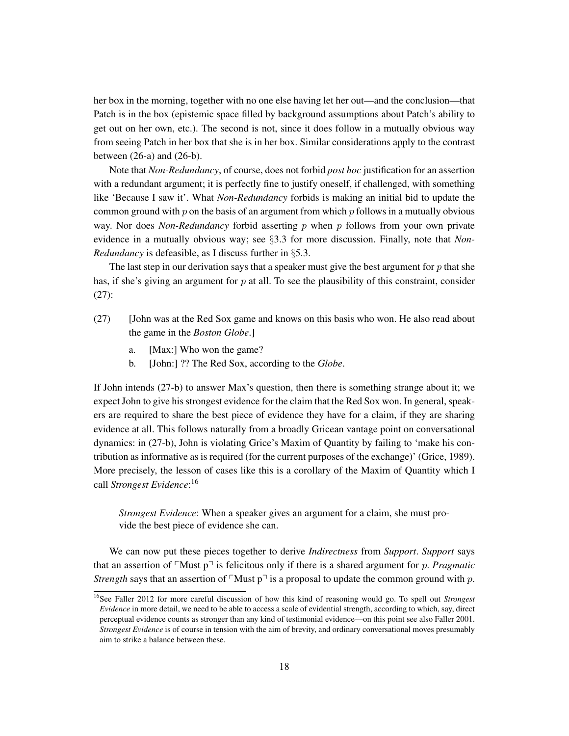her box in the morning, together with no one else having let her out—and the conclusion—that Patch is in the box (epistemic space filled by background assumptions about Patch's ability to get out on her own, etc.). The second is not, since it does follow in a mutually obvious way from seeing Patch in her box that she is in her box. Similar considerations apply to the contrast between [\(26-a\)](#page-16-3) and [\(26-b\).](#page-16-1)

Note that *Non-Redundancy*, of course, does not forbid *post hoc* justification for an assertion with a redundant argument; it is perfectly fine to justify oneself, if challenged, with something like 'Because I saw it'. What *Non-Redundancy* forbids is making an initial bid to update the common ground with  $p$  on the basis of an argument from which  $p$  follows in a mutually obvious way. Nor does *Non-Redundancy* forbid asserting p when p follows from your own private evidence in a mutually obvious way; see §[3.3](#page-18-0) for more discussion. Finally, note that *Non-Redundancy* is defeasible, as I discuss further in §[5.3.](#page-34-0)

The last step in our derivation says that a speaker must give the best argument for  $p$  that she has, if she's giving an argument for  $p$  at all. To see the plausibility of this constraint, consider (27):

- (27) [John was at the Red Sox game and knows on this basis who won. He also read about the game in the *Boston Globe*.]
	- a. [Max:] Who won the game?
	- b. [John:] ?? The Red Sox, according to the *Globe*.

If John intends (27-b) to answer Max's question, then there is something strange about it; we expect John to give his strongest evidence for the claim that the Red Sox won. In general, speakers are required to share the best piece of evidence they have for a claim, if they are sharing evidence at all. This follows naturally from a broadly Gricean vantage point on conversational dynamics: in (27-b), John is violating Grice's Maxim of Quantity by failing to 'make his contribution as informative as is required (for the current purposes of the exchange)' [\(Grice, 1989\)](#page-39-14). More precisely, the lesson of cases like this is a corollary of the Maxim of Quantity which I call *Strongest Evidence*: [16](#page-0-0)

*Strongest Evidence*: When a speaker gives an argument for a claim, she must provide the best piece of evidence she can.

We can now put these pieces together to derive *Indirectness* from *Support*. *Support* says that an assertion of  $\ulcorner$  Must p $\urcorner$  is felicitous only if there is a shared argument for p. *Pragmatic Strength* says that an assertion of  $\ulcorner$  Must p $\urcorner$  is a proposal to update the common ground with p.

<sup>16</sup>See [Faller 2012](#page-38-4) for more careful discussion of how this kind of reasoning would go. To spell out *Strongest Evidence* in more detail, we need to be able to access a scale of evidential strength, according to which, say, direct perceptual evidence counts as stronger than any kind of testimonial evidence—on this point see also [Faller 2001.](#page-38-5) *Strongest Evidence* is of course in tension with the aim of brevity, and ordinary conversational moves presumably aim to strike a balance between these.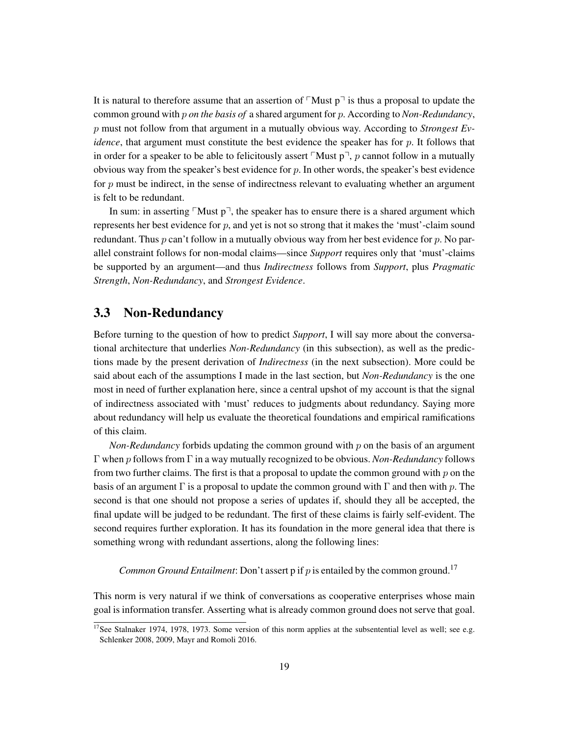It is natural to therefore assume that an assertion of  $\lceil \text{Must } p \rceil$  is thus a proposal to update the common ground with p *on the basis of* a shared argument for p. According to *Non-Redundancy*, p must not follow from that argument in a mutually obvious way. According to *Strongest Evidence*, that argument must constitute the best evidence the speaker has for p. It follows that in order for a speaker to be able to felicitously assert  $\ulcorner$  Must p $\urcorner$ , p cannot follow in a mutually obvious way from the speaker's best evidence for  $p$ . In other words, the speaker's best evidence for  $p$  must be indirect, in the sense of indirectness relevant to evaluating whether an argument is felt to be redundant.

In sum: in asserting  $\lceil \text{Must } p \rceil$ , the speaker has to ensure there is a shared argument which represents her best evidence for p, and yet is not so strong that it makes the 'must'-claim sound redundant. Thus p can't follow in a mutually obvious way from her best evidence for p. No parallel constraint follows for non-modal claims—since *Support* requires only that 'must'-claims be supported by an argument—and thus *Indirectness* follows from *Support*, plus *Pragmatic Strength*, *Non-Redundancy*, and *Strongest Evidence*.

### <span id="page-18-0"></span>3.3 Non-Redundancy

Before turning to the question of how to predict *Support*, I will say more about the conversational architecture that underlies *Non-Redundancy* (in this subsection), as well as the predictions made by the present derivation of *Indirectness* (in the next subsection). More could be said about each of the assumptions I made in the last section, but *Non-Redundancy* is the one most in need of further explanation here, since a central upshot of my account is that the signal of indirectness associated with 'must' reduces to judgments about redundancy. Saying more about redundancy will help us evaluate the theoretical foundations and empirical ramifications of this claim.

*Non-Redundancy* forbids updating the common ground with p on the basis of an argument Γ when p follows from Γ in a way mutually recognized to be obvious. *Non-Redundancy* follows from two further claims. The first is that a proposal to update the common ground with  $p$  on the basis of an argument  $\Gamma$  is a proposal to update the common ground with  $\Gamma$  and then with p. The second is that one should not propose a series of updates if, should they all be accepted, the final update will be judged to be redundant. The first of these claims is fairly self-evident. The second requires further exploration. It has its foundation in the more general idea that there is something wrong with redundant assertions, along the following lines:

*Common Ground Entailment*: Don't assert p if p is entailed by the common ground.<sup>[17](#page-0-0)</sup>

This norm is very natural if we think of conversations as cooperative enterprises whose main goal is information transfer. Asserting what is already common ground does not serve that goal.

<sup>&</sup>lt;sup>17</sup>See [Stalnaker 1974,](#page-40-12) [1978,](#page-40-13) [1973.](#page-40-17) Some version of this norm applies at the subsentential level as well; see e.g. [Schlenker 2008,](#page-40-18) [2009,](#page-40-19) [Mayr and Romoli 2016.](#page-40-20)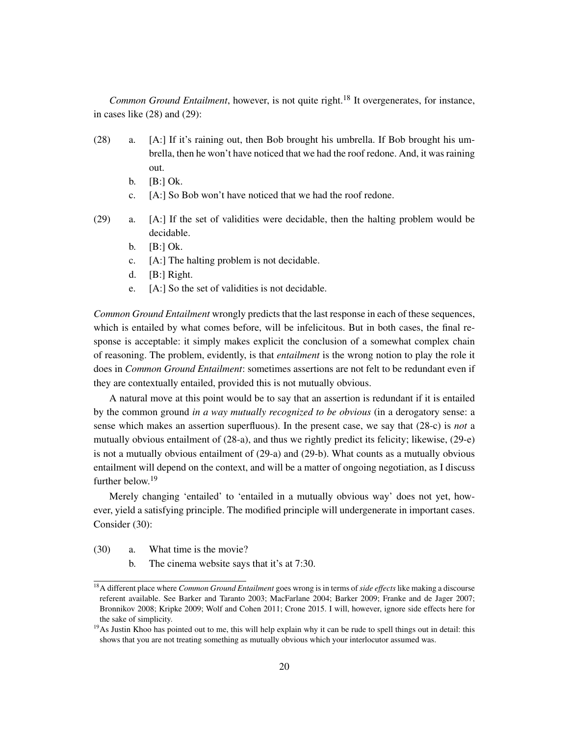*Common Ground Entailment*, however, is not quite right.<sup>[18](#page-0-0)</sup> It overgenerates, for instance, in cases like (28) and (29):

- <span id="page-19-1"></span>(28) a. [A:] If it's raining out, then Bob brought his umbrella. If Bob brought his umbrella, then he won't have noticed that we had the roof redone. And, it was raining out.
	- b.  $[B:] Ok$ .
	- c. [A:] So Bob won't have noticed that we had the roof redone.
- <span id="page-19-4"></span><span id="page-19-3"></span><span id="page-19-0"></span>(29) a. [A:] If the set of validities were decidable, then the halting problem would be decidable.
	- b.  $[B:] Ok$ .
	- c. [A:] The halting problem is not decidable.
	- d. [B:] Right.
	- e. [A:] So the set of validities is not decidable.

<span id="page-19-2"></span>*Common Ground Entailment* wrongly predicts that the last response in each of these sequences, which is entailed by what comes before, will be infelicitous. But in both cases, the final response is acceptable: it simply makes explicit the conclusion of a somewhat complex chain of reasoning. The problem, evidently, is that *entailment* is the wrong notion to play the role it does in *Common Ground Entailment*: sometimes assertions are not felt to be redundant even if they are contextually entailed, provided this is not mutually obvious.

A natural move at this point would be to say that an assertion is redundant if it is entailed by the common ground *in a way mutually recognized to be obvious* (in a derogatory sense: a sense which makes an assertion superfluous). In the present case, we say that [\(28-c\)](#page-19-0) is *not* a mutually obvious entailment of [\(28-a\),](#page-19-1) and thus we rightly predict its felicity; likewise, [\(29-e\)](#page-19-2) is not a mutually obvious entailment of [\(29-a\)](#page-19-3) and [\(29-b\).](#page-19-4) What counts as a mutually obvious entailment will depend on the context, and will be a matter of ongoing negotiation, as I discuss further below.[19](#page-0-0)

Merely changing 'entailed' to 'entailed in a mutually obvious way' does not yet, however, yield a satisfying principle. The modified principle will undergenerate in important cases. Consider (30):

- <span id="page-19-5"></span>(30) a. What time is the movie?
	- b. The cinema website says that it's at 7:30.

<sup>18</sup>A different place where *Common Ground Entailment* goes wrong is in terms of *side effects* like making a discourse referent available. See [Barker and Taranto 2003;](#page-38-6) [MacFarlane 2004;](#page-39-15) [Barker 2009;](#page-38-7) [Franke and de Jager 2007;](#page-38-8) [Bronnikov 2008;](#page-38-9) [Kripke 2009;](#page-39-7) [Wolf and Cohen 2011;](#page-41-1) [Crone 2015.](#page-38-10) I will, however, ignore side effects here for the sake of simplicity.

<sup>&</sup>lt;sup>19</sup>As Justin Khoo has pointed out to me, this will help explain why it can be rude to spell things out in detail: this shows that you are not treating something as mutually obvious which your interlocutor assumed was.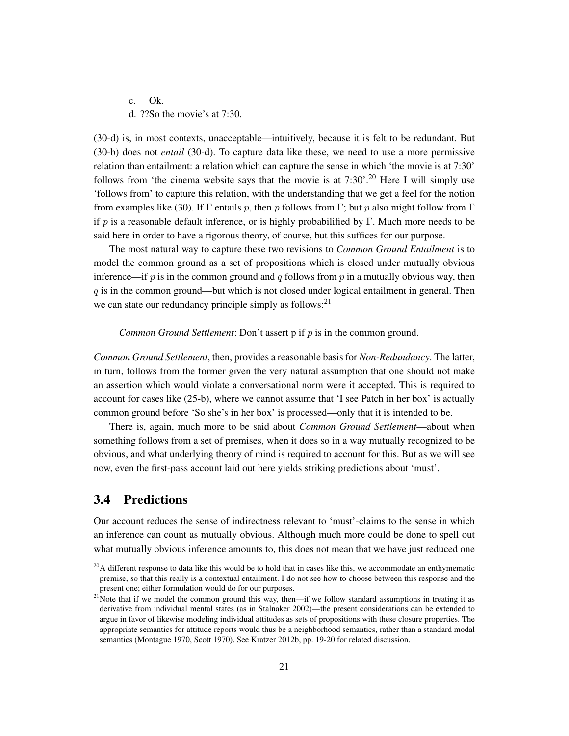c. Ok. d. ??So the movie's at 7:30.

(30-d) is, in most contexts, unacceptable—intuitively, because it is felt to be redundant. But (30-b) does not *entail* (30-d). To capture data like these, we need to use a more permissive relation than entailment: a relation which can capture the sense in which 'the movie is at 7:30' follows from 'the cinema website says that the movie is at  $7:30'$ .<sup>[20](#page-0-0)</sup> Here I will simply use 'follows from' to capture this relation, with the understanding that we get a feel for the notion from examples like (30). If Γ entails p, then p follows from Γ; but p also might follow from Γ if p is a reasonable default inference, or is highly probabilified by Γ. Much more needs to be said here in order to have a rigorous theory, of course, but this suffices for our purpose.

The most natural way to capture these two revisions to *Common Ground Entailment* is to model the common ground as a set of propositions which is closed under mutually obvious inference—if p is in the common ground and q follows from p in a mutually obvious way, then  $q$  is in the common ground—but which is not closed under logical entailment in general. Then we can state our redundancy principle simply as follows:<sup>[21](#page-0-0)</sup>

*Common Ground Settlement*: Don't assert p if p is in the common ground.

*Common Ground Settlement*, then, provides a reasonable basis for *Non-Redundancy*. The latter, in turn, follows from the former given the very natural assumption that one should not make an assertion which would violate a conversational norm were it accepted. This is required to account for cases like [\(25-b\),](#page-16-0) where we cannot assume that 'I see Patch in her box' is actually common ground before 'So she's in her box' is processed—only that it is intended to be.

There is, again, much more to be said about *Common Ground Settlement*—about when something follows from a set of premises, when it does so in a way mutually recognized to be obvious, and what underlying theory of mind is required to account for this. But as we will see now, even the first-pass account laid out here yields striking predictions about 'must'.

# <span id="page-20-0"></span>3.4 Predictions

Our account reduces the sense of indirectness relevant to 'must'-claims to the sense in which an inference can count as mutually obvious. Although much more could be done to spell out what mutually obvious inference amounts to, this does not mean that we have just reduced one

 $20A$  different response to data like this would be to hold that in cases like this, we accommodate an enthymematic premise, so that this really is a contextual entailment. I do not see how to choose between this response and the present one; either formulation would do for our purposes.

 $21$ Note that if we model the common ground this way, then—if we follow standard assumptions in treating it as derivative from individual mental states (as in [Stalnaker 2002\)](#page-40-10)—the present considerations can be extended to argue in favor of likewise modeling individual attitudes as sets of propositions with these closure properties. The appropriate semantics for attitude reports would thus be a neighborhood semantics, rather than a standard modal semantics [\(Montague 1970,](#page-40-21) [Scott 1970\)](#page-40-22). See [Kratzer 2012b,](#page-39-16) pp. 19-20 for related discussion.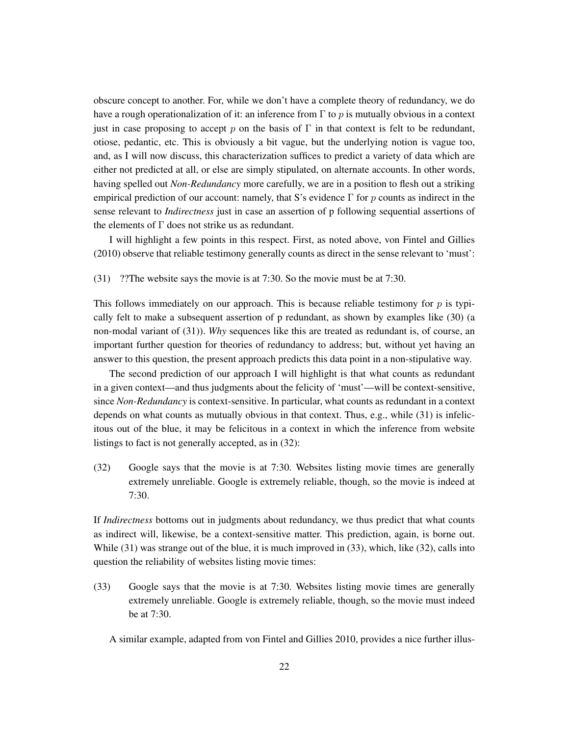obscure concept to another. For, while we don't have a complete theory of redundancy, we do have a rough operationalization of it: an inference from  $\Gamma$  to p is mutually obvious in a context just in case proposing to accept p on the basis of  $\Gamma$  in that context is felt to be redundant, otiose, pedantic, etc. This is obviously a bit vague, but the underlying notion is vague too, and, as I will now discuss, this characterization suffices to predict a variety of data which are either not predicted at all, or else are simply stipulated, on alternate accounts. In other words, having spelled out *Non-Redundancy* more carefully, we are in a position to flesh out a striking empirical prediction of our account: namely, that S's evidence  $\Gamma$  for p counts as indirect in the sense relevant to *Indirectness* just in case an assertion of p following sequential assertions of the elements of  $\Gamma$  does not strike us as redundant.

I will highlight a few points in this respect. First, as noted above, [von Fintel and Gillies](#page-38-0) [\(2010\)](#page-38-0) observe that reliable testimony generally counts as direct in the sense relevant to 'must':

<span id="page-21-0"></span>(31) ??The website says the movie is at 7:30. So the movie must be at 7:30.

This follows immediately on our approach. This is because reliable testimony for  $p$  is typically felt to make a subsequent assertion of p redundant, as shown by examples like [\(30\)](#page-19-5) (a non-modal variant of (31)). *Why* sequences like this are treated as redundant is, of course, an important further question for theories of redundancy to address; but, without yet having an answer to this question, the present approach predicts this data point in a non-stipulative way.

The second prediction of our approach I will highlight is that what counts as redundant in a given context—and thus judgments about the felicity of 'must'—will be context-sensitive, since *Non-Redundancy* is context-sensitive. In particular, what counts as redundant in a context depends on what counts as mutually obvious in that context. Thus, e.g., while [\(31\)](#page-21-0) is infelicitous out of the blue, it may be felicitous in a context in which the inference from website listings to fact is not generally accepted, as in (32):

(32) Google says that the movie is at 7:30. Websites listing movie times are generally extremely unreliable. Google is extremely reliable, though, so the movie is indeed at 7:30.

If *Indirectness* bottoms out in judgments about redundancy, we thus predict that what counts as indirect will, likewise, be a context-sensitive matter. This prediction, again, is borne out. While [\(31\)](#page-21-0) was strange out of the blue, it is much improved in (33), which, like (32), calls into question the reliability of websites listing movie times:

(33) Google says that the movie is at 7:30. Websites listing movie times are generally extremely unreliable. Google is extremely reliable, though, so the movie must indeed be at 7:30.

A similar example, adapted from [von Fintel and Gillies 2010,](#page-38-0) provides a nice further illus-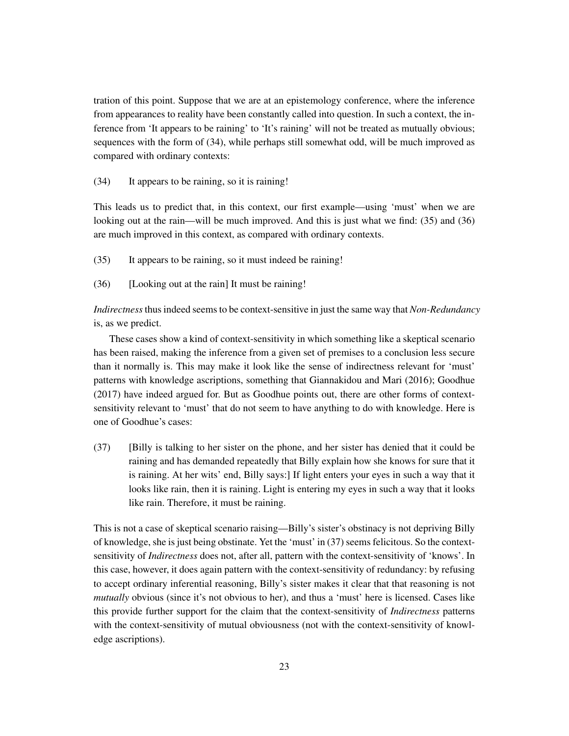tration of this point. Suppose that we are at an epistemology conference, where the inference from appearances to reality have been constantly called into question. In such a context, the inference from 'It appears to be raining' to 'It's raining' will not be treated as mutually obvious; sequences with the form of (34), while perhaps still somewhat odd, will be much improved as compared with ordinary contexts:

<span id="page-22-0"></span>(34) It appears to be raining, so it is raining!

This leads us to predict that, in this context, our first example—using 'must' when we are looking out at the rain—will be much improved. And this is just what we find: (35) and (36) are much improved in this context, as compared with ordinary contexts.

- (35) It appears to be raining, so it must indeed be raining!
- (36) [Looking out at the rain] It must be raining!

*Indirectness*thus indeed seems to be context-sensitive in just the same way that *Non-Redundancy* is, as we predict.

These cases show a kind of context-sensitivity in which something like a skeptical scenario has been raised, making the inference from a given set of premises to a conclusion less secure than it normally is. This may make it look like the sense of indirectness relevant for 'must' patterns with knowledge ascriptions, something that [Giannakidou and Mari](#page-39-4) [\(2016\)](#page-39-4); [Goodhue](#page-39-5) [\(2017\)](#page-39-5) have indeed argued for. But as Goodhue points out, there are other forms of contextsensitivity relevant to 'must' that do not seem to have anything to do with knowledge. Here is one of Goodhue's cases:

(37) [Billy is talking to her sister on the phone, and her sister has denied that it could be raining and has demanded repeatedly that Billy explain how she knows for sure that it is raining. At her wits' end, Billy says:] If light enters your eyes in such a way that it looks like rain, then it is raining. Light is entering my eyes in such a way that it looks like rain. Therefore, it must be raining.

This is not a case of skeptical scenario raising—Billy's sister's obstinacy is not depriving Billy of knowledge, she is just being obstinate. Yet the 'must' in (37) seems felicitous. So the contextsensitivity of *Indirectness* does not, after all, pattern with the context-sensitivity of 'knows'. In this case, however, it does again pattern with the context-sensitivity of redundancy: by refusing to accept ordinary inferential reasoning, Billy's sister makes it clear that that reasoning is not *mutually* obvious (since it's not obvious to her), and thus a 'must' here is licensed. Cases like this provide further support for the claim that the context-sensitivity of *Indirectness* patterns with the context-sensitivity of mutual obviousness (not with the context-sensitivity of knowledge ascriptions).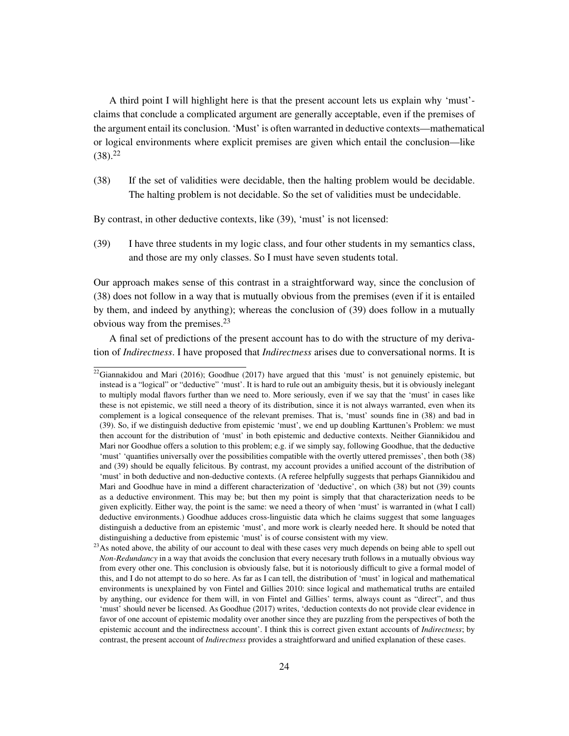A third point I will highlight here is that the present account lets us explain why 'must' claims that conclude a complicated argument are generally acceptable, even if the premises of the argument entail its conclusion. 'Must' is often warranted in deductive contexts—mathematical or logical environments where explicit premises are given which entail the conclusion—like  $(38).^{22}$  $(38).^{22}$  $(38).^{22}$  $(38).^{22}$ 

<span id="page-23-0"></span>(38) If the set of validities were decidable, then the halting problem would be decidable. The halting problem is not decidable. So the set of validities must be undecidable.

<span id="page-23-1"></span>By contrast, in other deductive contexts, like [\(39\),](#page-23-1) 'must' is not licensed:

(39) I have three students in my logic class, and four other students in my semantics class, and those are my only classes. So I must have seven students total.

Our approach makes sense of this contrast in a straightforward way, since the conclusion of [\(38\)](#page-23-0) does not follow in a way that is mutually obvious from the premises (even if it is entailed by them, and indeed by anything); whereas the conclusion of [\(39\)](#page-23-1) does follow in a mutually obvious way from the premises.[23](#page-0-0)

A final set of predictions of the present account has to do with the structure of my derivation of *Indirectness*. I have proposed that *Indirectness* arises due to conversational norms. It is

 $^{22}$ [Giannakidou and Mari](#page-39-4) [\(2016\)](#page-39-4); [Goodhue](#page-39-5) [\(2017\)](#page-39-5) have argued that this 'must' is not genuinely epistemic, but instead is a "logical" or "deductive" 'must'. It is hard to rule out an ambiguity thesis, but it is obviously inelegant to multiply modal flavors further than we need to. More seriously, even if we say that the 'must' in cases like these is not epistemic, we still need a theory of its distribution, since it is not always warranted, even when its complement is a logical consequence of the relevant premises. That is, 'must' sounds fine in [\(38\)](#page-23-0) and bad in [\(39\).](#page-23-1) So, if we distinguish deductive from epistemic 'must', we end up doubling Karttunen's Problem: we must then account for the distribution of 'must' in both epistemic and deductive contexts. Neither Giannikidou and Mari nor Goodhue offers a solution to this problem; e.g. if we simply say, following Goodhue, that the deductive 'must' 'quantifies universally over the possibilities compatible with the overtly uttered premisses', then both [\(38\)](#page-23-0) and [\(39\)](#page-23-1) should be equally felicitous. By contrast, my account provides a unified account of the distribution of 'must' in both deductive and non-deductive contexts. (A referee helpfully suggests that perhaps Giannikidou and Mari and Goodhue have in mind a different characterization of 'deductive', on which [\(38\)](#page-23-0) but not [\(39\)](#page-23-1) counts as a deductive environment. This may be; but then my point is simply that that characterization needs to be given explicitly. Either way, the point is the same: we need a theory of when 'must' is warranted in (what I call) deductive environments.) Goodhue adduces cross-linguistic data which he claims suggest that some languages distinguish a deductive from an epistemic 'must', and more work is clearly needed here. It should be noted that distinguishing a deductive from epistemic 'must' is of course consistent with my view.

 $23$ As noted above, the ability of our account to deal with these cases very much depends on being able to spell out *Non-Redundancy* in a way that avoids the conclusion that every necesary truth follows in a mutually obvious way from every other one. This conclusion is obviously false, but it is notoriously difficult to give a formal model of this, and I do not attempt to do so here. As far as I can tell, the distribution of 'must' in logical and mathematical environments is unexplained by [von Fintel and Gillies 2010:](#page-38-0) since logical and mathematical truths are entailed by anything, our evidence for them will, in von Fintel and Gillies' terms, always count as "direct", and thus 'must' should never be licensed. As [Goodhue](#page-39-5) [\(2017\)](#page-39-5) writes, 'deduction contexts do not provide clear evidence in favor of one account of epistemic modality over another since they are puzzling from the perspectives of both the epistemic account and the indirectness account'. I think this is correct given extant accounts of *Indirectness*; by contrast, the present account of *Indirectness* provides a straightforward and unified explanation of these cases.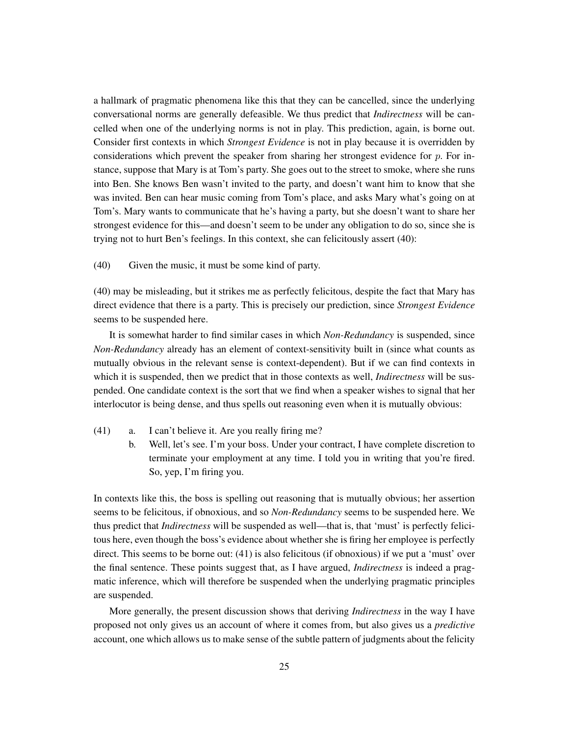a hallmark of pragmatic phenomena like this that they can be cancelled, since the underlying conversational norms are generally defeasible. We thus predict that *Indirectness* will be cancelled when one of the underlying norms is not in play. This prediction, again, is borne out. Consider first contexts in which *Strongest Evidence* is not in play because it is overridden by considerations which prevent the speaker from sharing her strongest evidence for  $p$ . For instance, suppose that Mary is at Tom's party. She goes out to the street to smoke, where she runs into Ben. She knows Ben wasn't invited to the party, and doesn't want him to know that she was invited. Ben can hear music coming from Tom's place, and asks Mary what's going on at Tom's. Mary wants to communicate that he's having a party, but she doesn't want to share her strongest evidence for this—and doesn't seem to be under any obligation to do so, since she is trying not to hurt Ben's feelings. In this context, she can felicitously assert (40):

(40) Given the music, it must be some kind of party.

(40) may be misleading, but it strikes me as perfectly felicitous, despite the fact that Mary has direct evidence that there is a party. This is precisely our prediction, since *Strongest Evidence* seems to be suspended here.

It is somewhat harder to find similar cases in which *Non-Redundancy* is suspended, since *Non-Redundancy* already has an element of context-sensitivity built in (since what counts as mutually obvious in the relevant sense is context-dependent). But if we can find contexts in which it is suspended, then we predict that in those contexts as well, *Indirectness* will be suspended. One candidate context is the sort that we find when a speaker wishes to signal that her interlocutor is being dense, and thus spells out reasoning even when it is mutually obvious:

- (41) a. I can't believe it. Are you really firing me?
	- b. Well, let's see. I'm your boss. Under your contract, I have complete discretion to terminate your employment at any time. I told you in writing that you're fired. So, yep, I'm firing you.

In contexts like this, the boss is spelling out reasoning that is mutually obvious; her assertion seems to be felicitous, if obnoxious, and so *Non-Redundancy* seems to be suspended here. We thus predict that *Indirectness* will be suspended as well—that is, that 'must' is perfectly felicitous here, even though the boss's evidence about whether she is firing her employee is perfectly direct. This seems to be borne out: (41) is also felicitous (if obnoxious) if we put a 'must' over the final sentence. These points suggest that, as I have argued, *Indirectness* is indeed a pragmatic inference, which will therefore be suspended when the underlying pragmatic principles are suspended.

More generally, the present discussion shows that deriving *Indirectness* in the way I have proposed not only gives us an account of where it comes from, but also gives us a *predictive* account, one which allows us to make sense of the subtle pattern of judgments about the felicity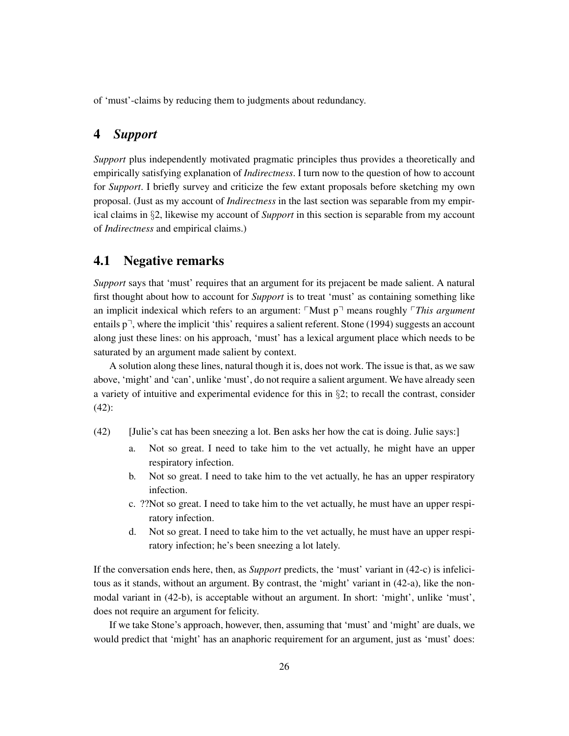of 'must'-claims by reducing them to judgments about redundancy.

# 4 *Support*

*Support* plus independently motivated pragmatic principles thus provides a theoretically and empirically satisfying explanation of *Indirectness*. I turn now to the question of how to account for *Support*. I briefly survey and criticize the few extant proposals before sketching my own proposal. (Just as my account of *Indirectness* in the last section was separable from my empirical claims in §[2,](#page-1-2) likewise my account of *Support* in this section is separable from my account of *Indirectness* and empirical claims.)

# <span id="page-25-0"></span>4.1 Negative remarks

*Support* says that 'must' requires that an argument for its prejacent be made salient. A natural first thought about how to account for *Support* is to treat 'must' as containing something like an implicit indexical which refers to an argument:  $\nabla$  **Must p**<sup> $\Box$ </sup> means roughly  $\nabla$ *This argument* entails  $p^{\dagger}$ , where the implicit 'this' requires a salient referent. [Stone](#page-40-5) [\(1994\)](#page-40-5) suggests an account along just these lines: on his approach, 'must' has a lexical argument place which needs to be saturated by an argument made salient by context.

A solution along these lines, natural though it is, does not work. The issue is that, as we saw above, 'might' and 'can', unlike 'must', do not require a salient argument. We have already seen a variety of intuitive and experimental evidence for this in  $\S$ [2;](#page-1-2) to recall the contrast, consider (42):

- (42) [Julie's cat has been sneezing a lot. Ben asks her how the cat is doing. Julie says:]
	- a. Not so great. I need to take him to the vet actually, he might have an upper respiratory infection.
	- b. Not so great. I need to take him to the vet actually, he has an upper respiratory infection.
	- c. ??Not so great. I need to take him to the vet actually, he must have an upper respiratory infection.
	- d. Not so great. I need to take him to the vet actually, he must have an upper respiratory infection; he's been sneezing a lot lately.

If the conversation ends here, then, as *Support* predicts, the 'must' variant in (42-c) is infelicitous as it stands, without an argument. By contrast, the 'might' variant in (42-a), like the nonmodal variant in (42-b), is acceptable without an argument. In short: 'might', unlike 'must', does not require an argument for felicity.

If we take Stone's approach, however, then, assuming that 'must' and 'might' are duals, we would predict that 'might' has an anaphoric requirement for an argument, just as 'must' does: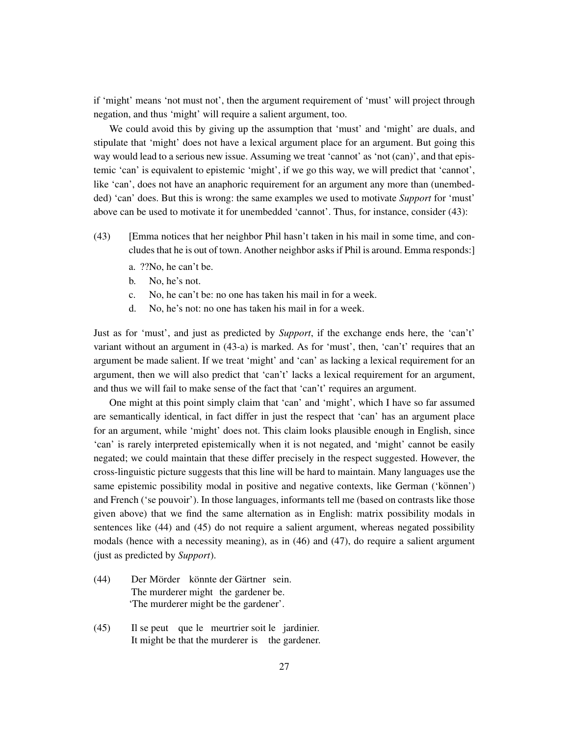if 'might' means 'not must not', then the argument requirement of 'must' will project through negation, and thus 'might' will require a salient argument, too.

We could avoid this by giving up the assumption that 'must' and 'might' are duals, and stipulate that 'might' does not have a lexical argument place for an argument. But going this way would lead to a serious new issue. Assuming we treat 'cannot' as 'not (can)', and that epistemic 'can' is equivalent to epistemic 'might', if we go this way, we will predict that 'cannot', like 'can', does not have an anaphoric requirement for an argument any more than (unembedded) 'can' does. But this is wrong: the same examples we used to motivate *Support* for 'must' above can be used to motivate it for unembedded 'cannot'. Thus, for instance, consider (43):

- (43) [Emma notices that her neighbor Phil hasn't taken in his mail in some time, and concludes that he is out of town. Another neighbor asks if Phil is around. Emma responds:]
	- a. ??No, he can't be.
	- b. No, he's not.
	- c. No, he can't be: no one has taken his mail in for a week.
	- d. No, he's not: no one has taken his mail in for a week.

Just as for 'must', and just as predicted by *Support*, if the exchange ends here, the 'can't' variant without an argument in (43-a) is marked. As for 'must', then, 'can't' requires that an argument be made salient. If we treat 'might' and 'can' as lacking a lexical requirement for an argument, then we will also predict that 'can't' lacks a lexical requirement for an argument, and thus we will fail to make sense of the fact that 'can't' requires an argument.

One might at this point simply claim that 'can' and 'might', which I have so far assumed are semantically identical, in fact differ in just the respect that 'can' has an argument place for an argument, while 'might' does not. This claim looks plausible enough in English, since 'can' is rarely interpreted epistemically when it is not negated, and 'might' cannot be easily negated; we could maintain that these differ precisely in the respect suggested. However, the cross-linguistic picture suggests that this line will be hard to maintain. Many languages use the same epistemic possibility modal in positive and negative contexts, like German ('können') and French ('se pouvoir'). In those languages, informants tell me (based on contrasts like those given above) that we find the same alternation as in English: matrix possibility modals in sentences like [\(44\)](#page-26-0) and [\(45\)](#page-26-1) do not require a salient argument, whereas negated possibility modals (hence with a necessity meaning), as in [\(46\)](#page-27-1) and [\(47\),](#page-27-2) do require a salient argument (just as predicted by *Support*).

- <span id="page-26-0"></span> $(44)$ The murderer might the gardener be. Mörder könnte der Gärtner sein. 'The murderer might be the gardener'.
- <span id="page-26-1"></span> $(45)$ It might be that the murderer is the gardener. se peut que le meurtrier soit le jardinier.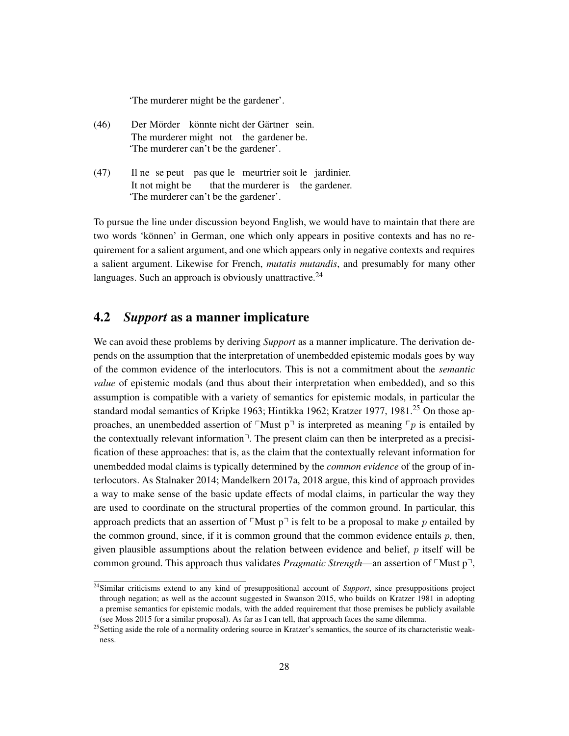'The murderer might be the gardener'.

- <span id="page-27-1"></span> $(46)$ The murderer might not the gardener be. Mörder könnte nicht der Gärtner sein. 'The murderer can't be the gardener'.
- <span id="page-27-2"></span> $(47)$ It not might be ne se peut pas que le meurtrier soit le jardinier. that the murderer is the gardener. 'The murderer can't be the gardener'.

To pursue the line under discussion beyond English, we would have to maintain that there are two words 'können' in German, one which only appears in positive contexts and has no requirement for a salient argument, and one which appears only in negative contexts and requires a salient argument. Likewise for French, *mutatis mutandis*, and presumably for many other languages. Such an approach is obviously unattractive.<sup>[24](#page-0-0)</sup>

# <span id="page-27-0"></span>4.2 *Support* as a manner implicature

We can avoid these problems by deriving *Support* as a manner implicature. The derivation depends on the assumption that the interpretation of unembedded epistemic modals goes by way of the common evidence of the interlocutors. This is not a commitment about the *semantic value* of epistemic modals (and thus about their interpretation when embedded), and so this assumption is compatible with a variety of semantics for epistemic modals, in particular the standard modal semantics of [Kripke 1963;](#page-39-17) [Hintikka 1962;](#page-39-18) [Kratzer 1977,](#page-39-8) [1981.](#page-39-9)<sup>[25](#page-0-0)</sup> On those approaches, an unembedded assertion of  $\ulcorner$ Must p $\urcorner$  is interpreted as meaning  $\ulcorner p$  is entailed by the contextually relevant information<sup> $\exists$ </sup>. The present claim can then be interpreted as a precisification of these approaches: that is, as the claim that the contextually relevant information for unembedded modal claims is typically determined by the *common evidence* of the group of interlocutors. As [Stalnaker 2014;](#page-40-11) [Mandelkern 2017a,](#page-39-19) [2018](#page-39-20) argue, this kind of approach provides a way to make sense of the basic update effects of modal claims, in particular the way they are used to coordinate on the structural properties of the common ground. In particular, this approach predicts that an assertion of  $\ulcorner$  Must p $\urcorner$  is felt to be a proposal to make p entailed by the common ground, since, if it is common ground that the common evidence entails  $p$ , then, given plausible assumptions about the relation between evidence and belief, p itself will be common ground. This approach thus validates *Pragmatic Strength*—an assertion of  $\lceil$ Must p $\rceil$ ,

<sup>24</sup>Similar criticisms extend to any kind of presuppositional account of *Support*, since presuppositions project through negation; as well as the account suggested in [Swanson 2015,](#page-40-8) who builds on [Kratzer 1981](#page-39-9) in adopting a premise semantics for epistemic modals, with the added requirement that those premises be publicly available (see [Moss 2015](#page-40-23) for a similar proposal). As far as I can tell, that approach faces the same dilemma.

<sup>&</sup>lt;sup>25</sup> Setting aside the role of a normality ordering source in Kratzer's semantics, the source of its characteristic weakness.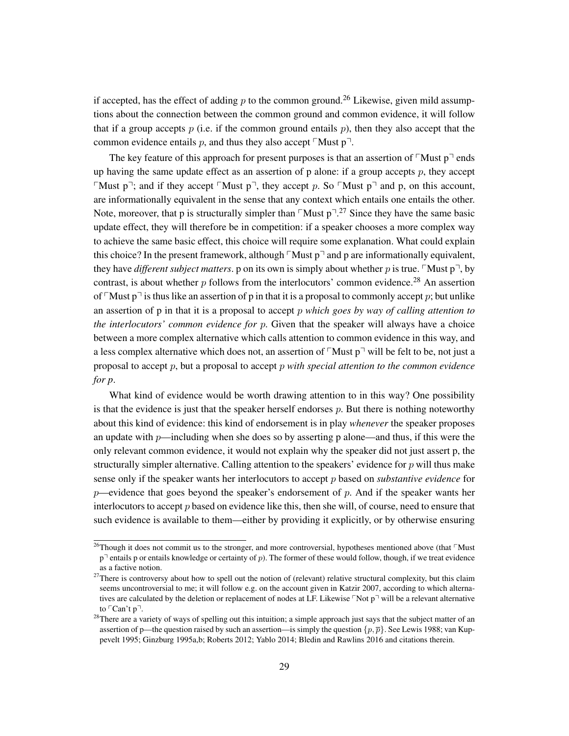if accepted, has the effect of adding p to the common ground.<sup>[26](#page-0-0)</sup> Likewise, given mild assumptions about the connection between the common ground and common evidence, it will follow that if a group accepts p (i.e. if the common ground entails  $p$ ), then they also accept that the common evidence entails p, and thus they also accept  $\ulcorner$  Must p $\urcorner$ .

The key feature of this approach for present purposes is that an assertion of  $\ulcorner$  Must p $\urcorner$  ends up having the same update effect as an assertion of p alone: if a group accepts  $p$ , they accept Must p<sup>-1</sup>; and if they accept  $\ulcorner$  Must p<sup>-1</sup>, they accept p. So  $\ulcorner$  Must p<sup>-1</sup> and p, on this account, are informationally equivalent in the sense that any context which entails one entails the other. Note, moreover, that p is structurally simpler than  $\ulcorner$  Must p $\urcorner$ <sup>[27](#page-0-0)</sup> Since they have the same basic update effect, they will therefore be in competition: if a speaker chooses a more complex way to achieve the same basic effect, this choice will require some explanation. What could explain this choice? In the present framework, although  $\ulcorner$  Must p $\urcorner$  and p are informationally equivalent, they have *different subject matters*. p on its own is simply about whether p is true. Must  $p^T$ , by contrast, is about whether  $p$  follows from the interlocutors' common evidence.<sup>[28](#page-0-0)</sup> An assertion of  $\ulcorner$  Must p $\urcorner$  is thus like an assertion of p in that it is a proposal to commonly accept p; but unlike an assertion of p in that it is a proposal to accept p *which goes by way of calling attention to the interlocutors' common evidence for* p. Given that the speaker will always have a choice between a more complex alternative which calls attention to common evidence in this way, and a less complex alternative which does not, an assertion of  $\ulcorner$  Must p $\urcorner$  will be felt to be, not just a proposal to accept p, but a proposal to accept p *with special attention to the common evidence for p*.

What kind of evidence would be worth drawing attention to in this way? One possibility is that the evidence is just that the speaker herself endorses  $p$ . But there is nothing noteworthy about this kind of evidence: this kind of endorsement is in play *whenever* the speaker proposes an update with  $p$ —including when she does so by asserting p alone—and thus, if this were the only relevant common evidence, it would not explain why the speaker did not just assert p, the structurally simpler alternative. Calling attention to the speakers' evidence for  $p$  will thus make sense only if the speaker wants her interlocutors to accept p based on *substantive evidence* for  $p$ —evidence that goes beyond the speaker's endorsement of p. And if the speaker wants her interlocutors to accept  $p$  based on evidence like this, then she will, of course, need to ensure that such evidence is available to them—either by providing it explicitly, or by otherwise ensuring

<sup>&</sup>lt;sup>26</sup>Though it does not commit us to the stronger, and more controversial, hypotheses mentioned above (that Must  $p<sup>-1</sup>$  entails p or entails knowledge or certainty of p). The former of these would follow, though, if we treat evidence as a factive notion.

 $27$ There is controversy about how to spell out the notion of (relevant) relative structural complexity, but this claim seems uncontroversial to me; it will follow e.g. on the account given in [Katzir 2007,](#page-39-21) according to which alternatives are calculated by the deletion or replacement of nodes at LF. Likewise  $\ulcorner$  Not p $\urcorner$  will be a relevant alternative to  $\ulcorner$ Can't p $\urcorner$ .

<sup>&</sup>lt;sup>28</sup>There are a variety of ways of spelling out this intuition; a simple approach just says that the subject matter of an assertion of p—the question raised by such an assertion—is simply the question  $\{p, \bar{p}\}\)$ . See [Lewis 1988;](#page-39-22) [van Kup](#page-39-23)[pevelt 1995;](#page-39-23) [Ginzburg 1995a](#page-39-24)[,b;](#page-39-25) [Roberts 2012;](#page-40-24) [Yablo 2014;](#page-41-2) [Bledin and Rawlins 2016](#page-38-11) and citations therein.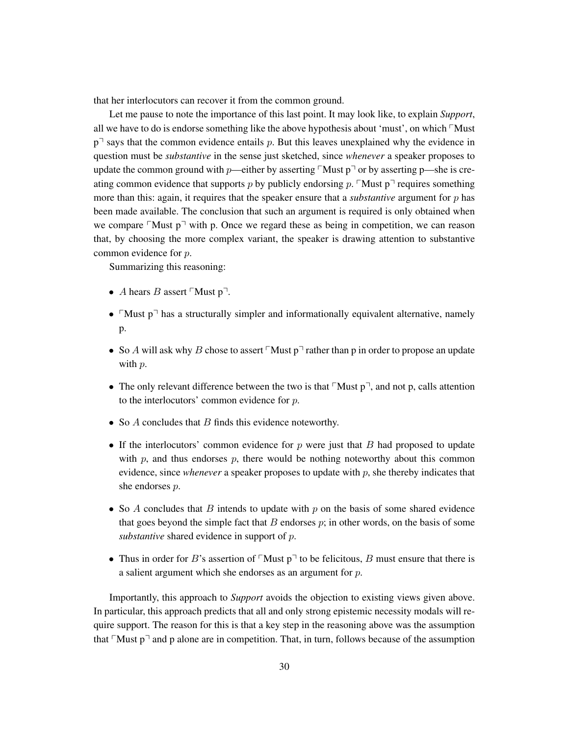that her interlocutors can recover it from the common ground.

Let me pause to note the importance of this last point. It may look like, to explain *Support*, all we have to do is endorse something like the above hypothesis about 'must', on which  $\ulcorner$  Must  $p<sup>7</sup>$  says that the common evidence entails p. But this leaves unexplained why the evidence in question must be *substantive* in the sense just sketched, since *whenever* a speaker proposes to update the common ground with p—either by asserting  $\ulcorner$  Must p $\urcorner$  or by asserting p—she is creating common evidence that supports p by publicly endorsing p. Must  $p<sup>7</sup>$  requires something more than this: again, it requires that the speaker ensure that a *substantive* argument for p has been made available. The conclusion that such an argument is required is only obtained when we compare  $\ulcorner$  Must p $\urcorner$  with p. Once we regard these as being in competition, we can reason that, by choosing the more complex variant, the speaker is drawing attention to substantive common evidence for p.

Summarizing this reasoning:

- A hears B assert  $\ulcorner$  Must p $\urcorner$ .
- Must  $p^{\dagger}$  has a structurally simpler and informationally equivalent alternative, namely p.
- So A will ask why B chose to assert Must  $p<sup>T</sup>$  rather than p in order to propose an update with  $p$ .
- The only relevant difference between the two is that  $\lceil \text{Must } p \rceil$ , and not p, calls attention to the interlocutors' common evidence for  $p$ .
- So  $A$  concludes that  $B$  finds this evidence noteworthy.
- If the interlocutors' common evidence for  $p$  were just that  $B$  had proposed to update with p, and thus endorses p, there would be nothing noteworthy about this common evidence, since *whenever* a speaker proposes to update with  $p$ , she thereby indicates that she endorses p.
- So A concludes that B intends to update with p on the basis of some shared evidence that goes beyond the simple fact that B endorses  $p$ ; in other words, on the basis of some *substantive* shared evidence in support of p.
- Thus in order for B's assertion of  $\ulcorner$  Must p $\urcorner$  to be felicitous, B must ensure that there is a salient argument which she endorses as an argument for p.

Importantly, this approach to *Support* avoids the objection to existing views given above. In particular, this approach predicts that all and only strong epistemic necessity modals will require support. The reason for this is that a key step in the reasoning above was the assumption that  $\lceil \text{Must } p \rceil$  and p alone are in competition. That, in turn, follows because of the assumption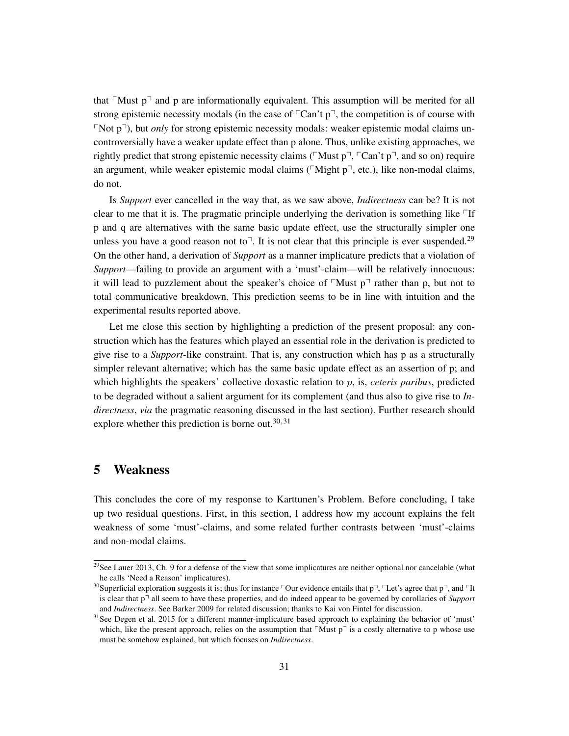that  $\lceil \text{Must } p \rceil$  and p are informationally equivalent. This assumption will be merited for all strong epistemic necessity modals (in the case of  $\ulcorner$ Can't p $\urcorner$ , the competition is of course with Not p<sup>-</sup>), but *only* for strong epistemic necessity modals: weaker epistemic modal claims uncontroversially have a weaker update effect than p alone. Thus, unlike existing approaches, we rightly predict that strong epistemic necessity claims ( $\ulcorner$ Must p $\urcorner$ ,  $\ulcorner$ Can't p $\urcorner$ , and so on) require an argument, while weaker epistemic modal claims ( $[Might p<sup>-</sup>, etc.),$  like non-modal claims, do not.

Is *Support* ever cancelled in the way that, as we saw above, *Indirectness* can be? It is not clear to me that it is. The pragmatic principle underlying the derivation is something like  $\Gamma$ If p and q are alternatives with the same basic update effect, use the structurally simpler one unless you have a good reason not to<sup>-1</sup>. It is not clear that this principle is ever suspended.<sup>[29](#page-0-0)</sup> On the other hand, a derivation of *Support* as a manner implicature predicts that a violation of *Support*—failing to provide an argument with a 'must'-claim—will be relatively innocuous: it will lead to puzzlement about the speaker's choice of  $\sqrt{\frac{M_{\text{ust}}}{n}}$  rather than p, but not to total communicative breakdown. This prediction seems to be in line with intuition and the experimental results reported above.

Let me close this section by highlighting a prediction of the present proposal: any construction which has the features which played an essential role in the derivation is predicted to give rise to a *Support*-like constraint. That is, any construction which has p as a structurally simpler relevant alternative; which has the same basic update effect as an assertion of p; and which highlights the speakers' collective doxastic relation to p, is, *ceteris paribus*, predicted to be degraded without a salient argument for its complement (and thus also to give rise to *Indirectness*, *via* the pragmatic reasoning discussed in the last section). Further research should explore whether this prediction is borne out.  $30,31$  $30,31$  $30,31$ 

#### 5 Weakness

This concludes the core of my response to Karttunen's Problem. Before concluding, I take up two residual questions. First, in this section, I address how my account explains the felt weakness of some 'must'-claims, and some related further contrasts between 'must'-claims and non-modal claims.

 $29$ See [Lauer 2013,](#page-39-26) Ch. 9 for a defense of the view that some implicatures are neither optional nor cancelable (what he calls 'Need a Reason' implicatures).

<sup>&</sup>lt;sup>30</sup>Superficial exploration suggests it is; thus for instance  $\ulcorner$  Our evidence entails that p $\urcorner$ ,  $\ulcorner$  Let's agree that p $\urcorner$ , and  $\ulcorner$  It is clear that p<sup> $\eta$ </sup> all seem to have these properties, and do indeed appear to be governed by corollaries of *Support* and *Indirectness*. See [Barker 2009](#page-38-7) for related discussion; thanks to Kai von Fintel for discussion.

 $31$ See [Degen et al. 2015](#page-38-12) for a different manner-implicature based approach to explaining the behavior of 'must' which, like the present approach, relies on the assumption that  $\ulcorner$  Must p $\urcorner$  is a costly alternative to p whose use must be somehow explained, but which focuses on *Indirectness*.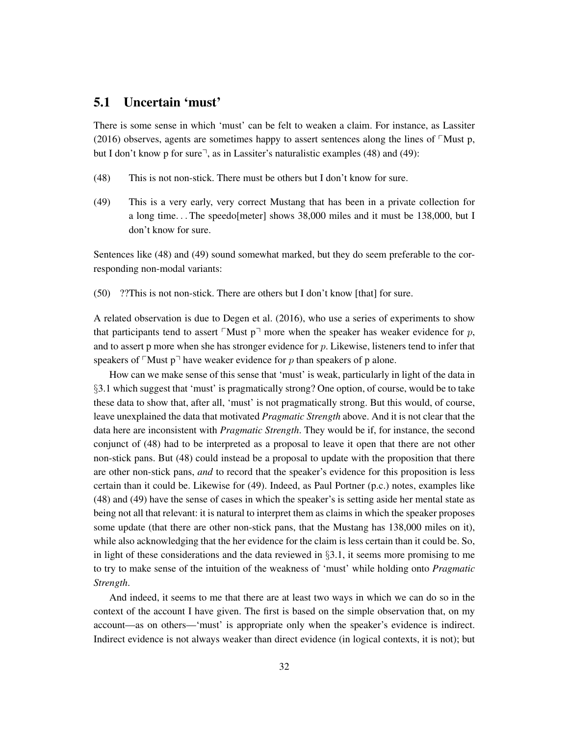# 5.1 Uncertain 'must'

There is some sense in which 'must' can be felt to weaken a claim. For instance, as [Lassiter](#page-39-3) [\(2016\)](#page-39-3) observes, agents are sometimes happy to assert sentences along the lines of  $\sqrt{\ }$ Must p, but I don't know p for sure<sup> $\neg$ </sup>, as in Lassiter's naturalistic examples (48) and (49):

- <span id="page-31-0"></span>(48) This is not non-stick. There must be others but I don't know for sure.
- <span id="page-31-1"></span>(49) This is a very early, very correct Mustang that has been in a private collection for a long time. . . The speedo[meter] shows 38,000 miles and it must be 138,000, but I don't know for sure.

Sentences like [\(48\)](#page-31-0) and [\(49\)](#page-31-1) sound somewhat marked, but they do seem preferable to the corresponding non-modal variants:

(50) ??This is not non-stick. There are others but I don't know [that] for sure.

A related observation is due to [Degen et al.](#page-38-13) [\(2016\)](#page-38-13), who use a series of experiments to show that participants tend to assert  $\ulcorner$  Must p $\urcorner$  more when the speaker has weaker evidence for p, and to assert p more when she has stronger evidence for  $p$ . Likewise, listeners tend to infer that speakers of  $\ulcorner$  Must p $\urcorner$  have weaker evidence for p than speakers of p alone.

How can we make sense of this sense that 'must' is weak, particularly in light of the data in §[3.1](#page-12-0) which suggest that 'must' is pragmatically strong? One option, of course, would be to take these data to show that, after all, 'must' is not pragmatically strong. But this would, of course, leave unexplained the data that motivated *Pragmatic Strength* above. And it is not clear that the data here are inconsistent with *Pragmatic Strength*. They would be if, for instance, the second conjunct of [\(48\)](#page-31-0) had to be interpreted as a proposal to leave it open that there are not other non-stick pans. But [\(48\)](#page-31-0) could instead be a proposal to update with the proposition that there are other non-stick pans, *and* to record that the speaker's evidence for this proposition is less certain than it could be. Likewise for [\(49\).](#page-31-1) Indeed, as Paul Portner (p.c.) notes, examples like [\(48\)](#page-31-0) and [\(49\)](#page-31-1) have the sense of cases in which the speaker's is setting aside her mental state as being not all that relevant: it is natural to interpret them as claims in which the speaker proposes some update (that there are other non-stick pans, that the Mustang has 138,000 miles on it), while also acknowledging that the her evidence for the claim is less certain than it could be. So, in light of these considerations and the data reviewed in  $\S 3.1$ , it seems more promising to me to try to make sense of the intuition of the weakness of 'must' while holding onto *Pragmatic Strength*.

And indeed, it seems to me that there are at least two ways in which we can do so in the context of the account I have given. The first is based on the simple observation that, on my account—as on others—'must' is appropriate only when the speaker's evidence is indirect. Indirect evidence is not always weaker than direct evidence (in logical contexts, it is not); but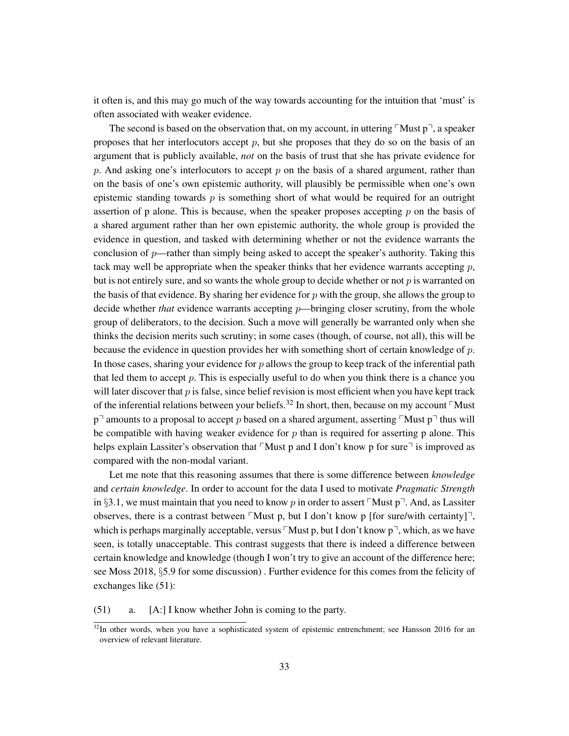it often is, and this may go much of the way towards accounting for the intuition that 'must' is often associated with weaker evidence.

The second is based on the observation that, on my account, in uttering  $\ulcorner$  Must p $\urcorner$ , a speaker proposes that her interlocutors accept  $p$ , but she proposes that they do so on the basis of an argument that is publicly available, *not* on the basis of trust that she has private evidence for p. And asking one's interlocutors to accept p on the basis of a shared argument, rather than on the basis of one's own epistemic authority, will plausibly be permissible when one's own epistemic standing towards  $p$  is something short of what would be required for an outright assertion of p alone. This is because, when the speaker proposes accepting  $p$  on the basis of a shared argument rather than her own epistemic authority, the whole group is provided the evidence in question, and tasked with determining whether or not the evidence warrants the conclusion of  $p$ —rather than simply being asked to accept the speaker's authority. Taking this tack may well be appropriate when the speaker thinks that her evidence warrants accepting  $p$ , but is not entirely sure, and so wants the whole group to decide whether or not  $p$  is warranted on the basis of that evidence. By sharing her evidence for  $p$  with the group, she allows the group to decide whether *that* evidence warrants accepting *p*—bringing closer scrutiny, from the whole group of deliberators, to the decision. Such a move will generally be warranted only when she thinks the decision merits such scrutiny; in some cases (though, of course, not all), this will be because the evidence in question provides her with something short of certain knowledge of  $p$ . In those cases, sharing your evidence for  $p$  allows the group to keep track of the inferential path that led them to accept  $p$ . This is especially useful to do when you think there is a chance you will later discover that  $p$  is false, since belief revision is most efficient when you have kept track of the inferential relations between your beliefs.<sup>[32](#page-0-0)</sup> In short, then, because on my account  $\ulcorner$  Must  $p^{\neg}$  amounts to a proposal to accept p based on a shared argument, asserting  $\ulcorner$  Must p $\urcorner$  thus will be compatible with having weaker evidence for p than is required for asserting p alone. This helps explain Lassiter's observation that  $\ulcorner$  Must p and I don't know p for sure $\urcorner$  is improved as compared with the non-modal variant.

Let me note that this reasoning assumes that there is some difference between *knowledge* and *certain knowledge*. In order to account for the data I used to motivate *Pragmatic Strength* in §[3.1,](#page-12-0) we must maintain that you need to know p in order to assert  $\ulcorner$  Must p $\urcorner$ . And, as Lassiter observes, there is a contrast between  $\lceil \text{Must } p \rceil$ , but I don't know p  $\lceil \text{for sure/wiki } h \rceil$ , which is perhaps marginally acceptable, versus  $\ulcorner$  Must p, but I don't know p $\urcorner$ , which, as we have seen, is totally unacceptable. This contrast suggests that there is indeed a difference between certain knowledge and knowledge (though I won't try to give an account of the difference here; see [Moss 2018,](#page-40-25) §5.9 for some discussion) . Further evidence for this comes from the felicity of exchanges like (51):

(51) a. [A:] I know whether John is coming to the party.

 $32$ In other words, when you have a sophisticated system of epistemic entrenchment; see [Hansson 2016](#page-39-27) for an overview of relevant literature.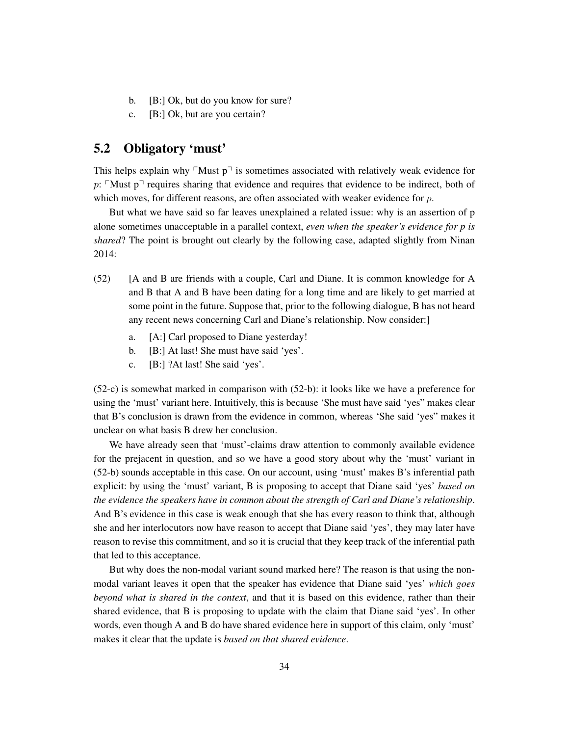- b. [B:] Ok, but do you know for sure?
- c. [B:] Ok, but are you certain?

# 5.2 Obligatory 'must'

This helps explain why  $\ulcorner$  Must p $\urcorner$  is sometimes associated with relatively weak evidence for p:  $\lceil M \rceil$  requires sharing that evidence and requires that evidence to be indirect, both of which moves, for different reasons, are often associated with weaker evidence for  $p$ .

But what we have said so far leaves unexplained a related issue: why is an assertion of p alone sometimes unacceptable in a parallel context, *even when the speaker's evidence for p is shared*? The point is brought out clearly by the following case, adapted slightly from [Ninan](#page-40-26) [2014:](#page-40-26)

- (52) [A and B are friends with a couple, Carl and Diane. It is common knowledge for A and B that A and B have been dating for a long time and are likely to get married at some point in the future. Suppose that, prior to the following dialogue, B has not heard any recent news concerning Carl and Diane's relationship. Now consider:]
	- a. [A:] Carl proposed to Diane yesterday!
	- b. [B:] At last! She must have said 'yes'.
	- c. [B:] ?At last! She said 'yes'.

(52-c) is somewhat marked in comparison with (52-b): it looks like we have a preference for using the 'must' variant here. Intuitively, this is because 'She must have said 'yes" makes clear that B's conclusion is drawn from the evidence in common, whereas 'She said 'yes" makes it unclear on what basis B drew her conclusion.

We have already seen that 'must'-claims draw attention to commonly available evidence for the prejacent in question, and so we have a good story about why the 'must' variant in (52-b) sounds acceptable in this case. On our account, using 'must' makes B's inferential path explicit: by using the 'must' variant, B is proposing to accept that Diane said 'yes' *based on the evidence the speakers have in common about the strength of Carl and Diane's relationship*. And B's evidence in this case is weak enough that she has every reason to think that, although she and her interlocutors now have reason to accept that Diane said 'yes', they may later have reason to revise this commitment, and so it is crucial that they keep track of the inferential path that led to this acceptance.

But why does the non-modal variant sound marked here? The reason is that using the nonmodal variant leaves it open that the speaker has evidence that Diane said 'yes' *which goes beyond what is shared in the context*, and that it is based on this evidence, rather than their shared evidence, that B is proposing to update with the claim that Diane said 'yes'. In other words, even though A and B do have shared evidence here in support of this claim, only 'must' makes it clear that the update is *based on that shared evidence*.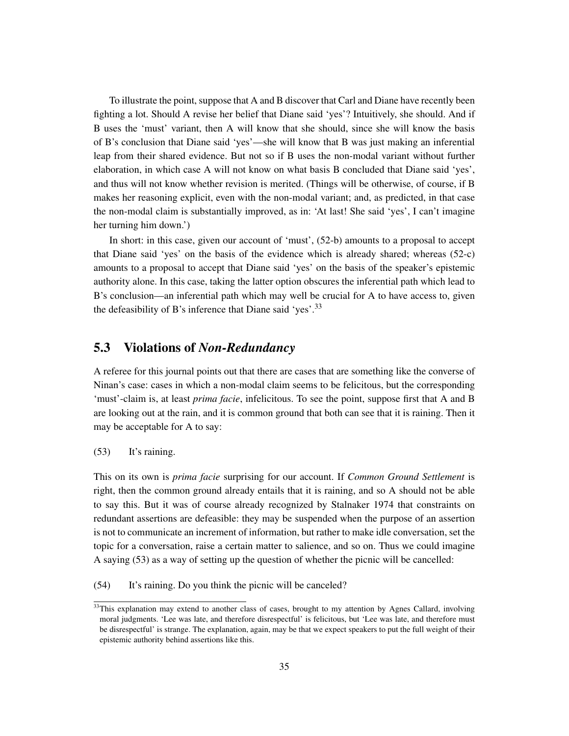To illustrate the point, suppose that A and B discover that Carl and Diane have recently been fighting a lot. Should A revise her belief that Diane said 'yes'? Intuitively, she should. And if B uses the 'must' variant, then A will know that she should, since she will know the basis of B's conclusion that Diane said 'yes'—she will know that B was just making an inferential leap from their shared evidence. But not so if B uses the non-modal variant without further elaboration, in which case A will not know on what basis B concluded that Diane said 'yes', and thus will not know whether revision is merited. (Things will be otherwise, of course, if B makes her reasoning explicit, even with the non-modal variant; and, as predicted, in that case the non-modal claim is substantially improved, as in: 'At last! She said 'yes', I can't imagine her turning him down.')

In short: in this case, given our account of 'must', (52-b) amounts to a proposal to accept that Diane said 'yes' on the basis of the evidence which is already shared; whereas (52-c) amounts to a proposal to accept that Diane said 'yes' on the basis of the speaker's epistemic authority alone. In this case, taking the latter option obscures the inferential path which lead to B's conclusion—an inferential path which may well be crucial for A to have access to, given the defeasibility of B's inference that Diane said 'yes'.[33](#page-0-0)

# <span id="page-34-0"></span>5.3 Violations of *Non-Redundancy*

A referee for this journal points out that there are cases that are something like the converse of Ninan's case: cases in which a non-modal claim seems to be felicitous, but the corresponding 'must'-claim is, at least *prima facie*, infelicitous. To see the point, suppose first that A and B are looking out at the rain, and it is common ground that both can see that it is raining. Then it may be acceptable for A to say:

(53) It's raining.

This on its own is *prima facie* surprising for our account. If *Common Ground Settlement* is right, then the common ground already entails that it is raining, and so A should not be able to say this. But it was of course already recognized by [Stalnaker 1974](#page-40-12) that constraints on redundant assertions are defeasible: they may be suspended when the purpose of an assertion is not to communicate an increment of information, but rather to make idle conversation, set the topic for a conversation, raise a certain matter to salience, and so on. Thus we could imagine A saying (53) as a way of setting up the question of whether the picnic will be cancelled:

(54) It's raining. Do you think the picnic will be canceled?

<sup>&</sup>lt;sup>33</sup>This explanation may extend to another class of cases, brought to my attention by Agnes Callard, involving moral judgments. 'Lee was late, and therefore disrespectful' is felicitous, but 'Lee was late, and therefore must be disrespectful' is strange. The explanation, again, may be that we expect speakers to put the full weight of their epistemic authority behind assertions like this.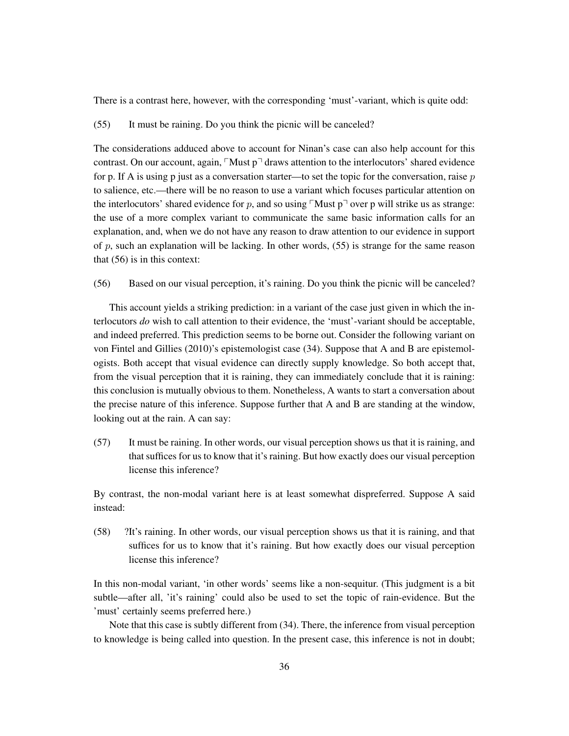There is a contrast here, however, with the corresponding 'must'-variant, which is quite odd:

(55) It must be raining. Do you think the picnic will be canceled?

The considerations adduced above to account for Ninan's case can also help account for this contrast. On our account, again,  $\lceil \text{Must } p \rceil$  draws attention to the interlocutors' shared evidence for p. If A is using p just as a conversation starter—to set the topic for the conversation, raise  $p$ to salience, etc.—there will be no reason to use a variant which focuses particular attention on the interlocutors' shared evidence for p, and so using  $\ulcorner$  Must p $\urcorner$  over p will strike us as strange: the use of a more complex variant to communicate the same basic information calls for an explanation, and, when we do not have any reason to draw attention to our evidence in support of  $p$ , such an explanation will be lacking. In other words,  $(55)$  is strange for the same reason that (56) is in this context:

(56) Based on our visual perception, it's raining. Do you think the picnic will be canceled?

This account yields a striking prediction: in a variant of the case just given in which the interlocutors *do* wish to call attention to their evidence, the 'must'-variant should be acceptable, and indeed preferred. This prediction seems to be borne out. Consider the following variant on [von Fintel and Gillies](#page-38-0) [\(2010\)](#page-38-0)'s epistemologist case [\(34\).](#page-22-0) Suppose that A and B are epistemologists. Both accept that visual evidence can directly supply knowledge. So both accept that, from the visual perception that it is raining, they can immediately conclude that it is raining: this conclusion is mutually obvious to them. Nonetheless, A wants to start a conversation about the precise nature of this inference. Suppose further that A and B are standing at the window, looking out at the rain. A can say:

(57) It must be raining. In other words, our visual perception shows us that it is raining, and that suffices for us to know that it's raining. But how exactly does our visual perception license this inference?

By contrast, the non-modal variant here is at least somewhat dispreferred. Suppose A said instead:

(58) ?It's raining. In other words, our visual perception shows us that it is raining, and that suffices for us to know that it's raining. But how exactly does our visual perception license this inference?

In this non-modal variant, 'in other words' seems like a non-sequitur. (This judgment is a bit subtle—after all, 'it's raining' could also be used to set the topic of rain-evidence. But the 'must' certainly seems preferred here.)

Note that this case is subtly different from [\(34\).](#page-22-0) There, the inference from visual perception to knowledge is being called into question. In the present case, this inference is not in doubt;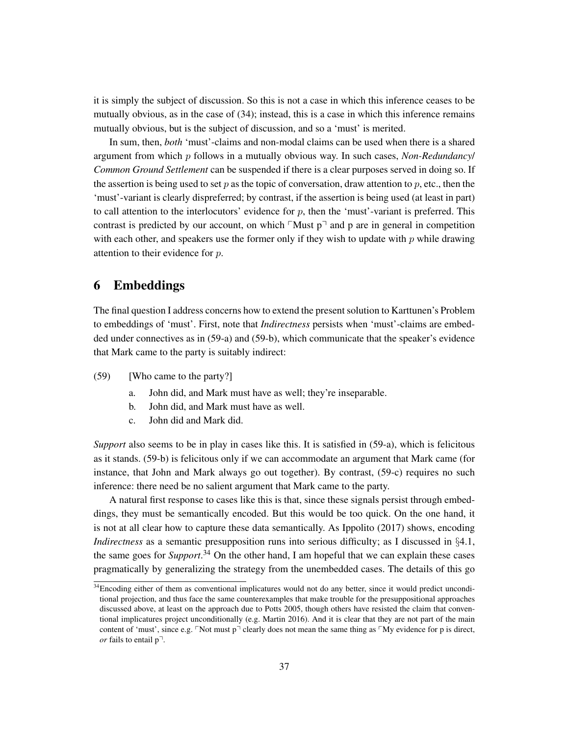it is simply the subject of discussion. So this is not a case in which this inference ceases to be mutually obvious, as in the case of [\(34\);](#page-22-0) instead, this is a case in which this inference remains mutually obvious, but is the subject of discussion, and so a 'must' is merited.

In sum, then, *both* 'must'-claims and non-modal claims can be used when there is a shared argument from which p follows in a mutually obvious way. In such cases, *Non-Redundancy*/ *Common Ground Settlement* can be suspended if there is a clear purposes served in doing so. If the assertion is being used to set  $p$  as the topic of conversation, draw attention to  $p$ , etc., then the 'must'-variant is clearly dispreferred; by contrast, if the assertion is being used (at least in part) to call attention to the interlocutors' evidence for  $p$ , then the 'must'-variant is preferred. This contrast is predicted by our account, on which  $\ulcorner$  Must p $\urcorner$  and p are in general in competition with each other, and speakers use the former only if they wish to update with  $p$  while drawing attention to their evidence for p.

# 6 Embeddings

The final question I address concerns how to extend the present solution to Karttunen's Problem to embeddings of 'must'. First, note that *Indirectness* persists when 'must'-claims are embedded under connectives as in [\(59-a\)](#page-36-0) and [\(59-b\),](#page-36-1) which communicate that the speaker's evidence that Mark came to the party is suitably indirect:

- <span id="page-36-1"></span><span id="page-36-0"></span>(59) [Who came to the party?]
	- a. John did, and Mark must have as well; they're inseparable.
	- b. John did, and Mark must have as well.
	- c. John did and Mark did.

<span id="page-36-2"></span>*Support* also seems to be in play in cases like this. It is satisfied in [\(59-a\),](#page-36-0) which is felicitous as it stands. [\(59-b\)](#page-36-1) is felicitous only if we can accommodate an argument that Mark came (for instance, that John and Mark always go out together). By contrast, [\(59-c\)](#page-36-2) requires no such inference: there need be no salient argument that Mark came to the party.

A natural first response to cases like this is that, since these signals persist through embeddings, they must be semantically encoded. But this would be too quick. On the one hand, it is not at all clear how to capture these data semantically. As [Ippolito](#page-39-10) [\(2017\)](#page-39-10) shows, encoding *Indirectness* as a semantic presupposition runs into serious difficulty; as I discussed in §[4.1,](#page-25-0) the same goes for *Support*. [34](#page-0-0) On the other hand, I am hopeful that we can explain these cases pragmatically by generalizing the strategy from the unembedded cases. The details of this go

<sup>&</sup>lt;sup>34</sup>Encoding either of them as conventional implicatures would not do any better, since it would predict unconditional projection, and thus face the same counterexamples that make trouble for the presuppositional approaches discussed above, at least on the approach due to [Potts 2005,](#page-40-27) though others have resisted the claim that conventional implicatures project unconditionally (e.g. [Martin 2016\)](#page-39-28). And it is clear that they are not part of the main content of 'must', since e.g.  $\ulcorner$  Not must p $\urcorner$  clearly does not mean the same thing as  $\ulcorner$  My evidence for p is direct, *or* fails to entail  $p^{-1}$ .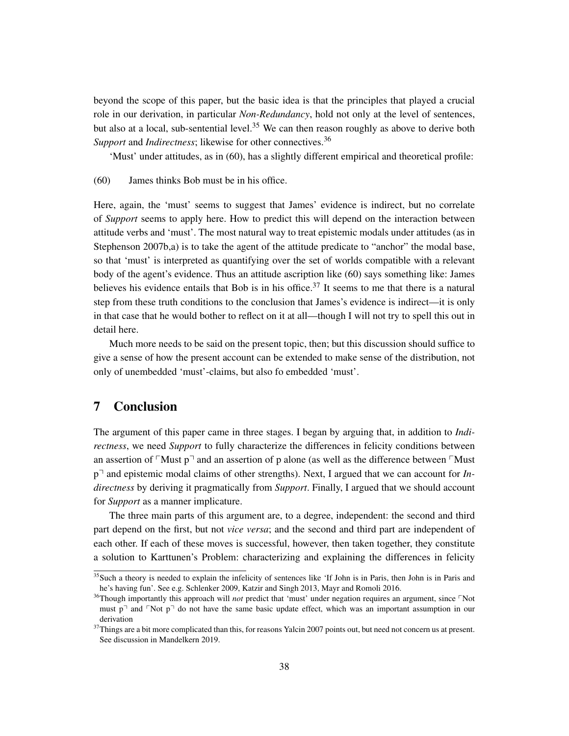beyond the scope of this paper, but the basic idea is that the principles that played a crucial role in our derivation, in particular *Non-Redundancy*, hold not only at the level of sentences, but also at a local, sub-sentential level.<sup>[35](#page-0-0)</sup> We can then reason roughly as above to derive both Support and *Indirectness*; likewise for other connectives.<sup>[36](#page-0-0)</sup>

'Must' under attitudes, as in (60), has a slightly different empirical and theoretical profile:

<span id="page-37-0"></span>(60) James thinks Bob must be in his office.

Here, again, the 'must' seems to suggest that James' evidence is indirect, but no correlate of *Support* seems to apply here. How to predict this will depend on the interaction between attitude verbs and 'must'. The most natural way to treat epistemic modals under attitudes (as in [Stephenson 2007b](#page-40-28)[,a\)](#page-40-29) is to take the agent of the attitude predicate to "anchor" the modal base, so that 'must' is interpreted as quantifying over the set of worlds compatible with a relevant body of the agent's evidence. Thus an attitude ascription like [\(60\)](#page-37-0) says something like: James believes his evidence entails that Bob is in his office.<sup>[37](#page-0-0)</sup> It seems to me that there is a natural step from these truth conditions to the conclusion that James's evidence is indirect—it is only in that case that he would bother to reflect on it at all—though I will not try to spell this out in detail here.

Much more needs to be said on the present topic, then; but this discussion should suffice to give a sense of how the present account can be extended to make sense of the distribution, not only of unembedded 'must'-claims, but also fo embedded 'must'.

# 7 Conclusion

The argument of this paper came in three stages. I began by arguing that, in addition to *Indirectness*, we need *Support* to fully characterize the differences in felicity conditions between an assertion of  $\ulcorner$  Must p $\urcorner$  and an assertion of p alone (as well as the difference between  $\ulcorner$  Must p<sup> $\Box$ </sup> and epistemic modal claims of other strengths). Next, I argued that we can account for *Indirectness* by deriving it pragmatically from *Support*. Finally, I argued that we should account for *Support* as a manner implicature.

The three main parts of this argument are, to a degree, independent: the second and third part depend on the first, but not *vice versa*; and the second and third part are independent of each other. If each of these moves is successful, however, then taken together, they constitute a solution to Karttunen's Problem: characterizing and explaining the differences in felicity

<sup>&</sup>lt;sup>35</sup>Such a theory is needed to explain the infelicity of sentences like 'If John is in Paris, then John is in Paris and he's having fun'. See e.g. [Schlenker 2009,](#page-40-19) [Katzir and Singh 2013,](#page-39-29) [Mayr and Romoli 2016.](#page-40-20)

<sup>&</sup>lt;sup>36</sup>Though importantly this approach will *not* predict that 'must' under negation requires an argument, since <sup>r</sup>Not must  $p^{\dagger}$  and  $\Delta p^{\dagger}$  do not have the same basic update effect, which was an important assumption in our derivation

<sup>&</sup>lt;sup>37</sup>Things are a bit more complicated than this, for reasons [Yalcin 2007](#page-41-0) points out, but need not concern us at present. See discussion in [Mandelkern 2019.](#page-39-30)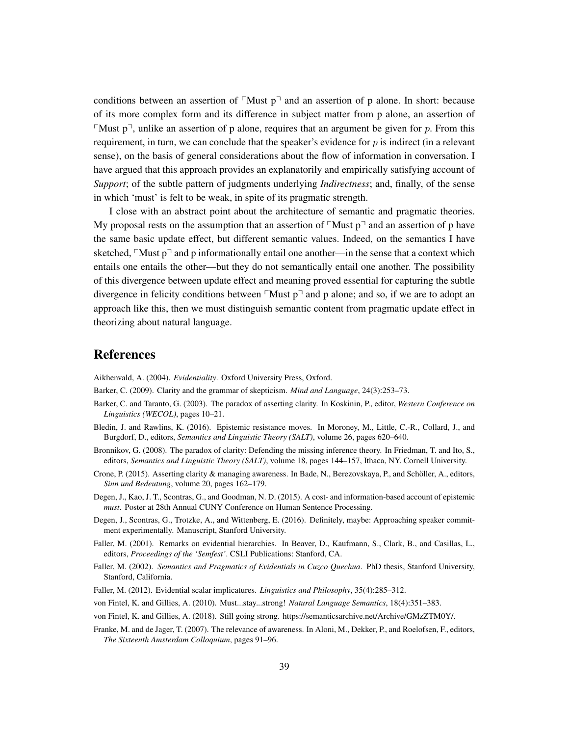conditions between an assertion of  $\lceil \text{Must } p \rceil$  and an assertion of p alone. In short: because of its more complex form and its difference in subject matter from p alone, an assertion of Must  $p^{\dagger}$ , unlike an assertion of p alone, requires that an argument be given for p. From this requirement, in turn, we can conclude that the speaker's evidence for  $p$  is indirect (in a relevant sense), on the basis of general considerations about the flow of information in conversation. I have argued that this approach provides an explanatorily and empirically satisfying account of *Support*; of the subtle pattern of judgments underlying *Indirectness*; and, finally, of the sense in which 'must' is felt to be weak, in spite of its pragmatic strength.

I close with an abstract point about the architecture of semantic and pragmatic theories. My proposal rests on the assumption that an assertion of  $\ulcorner$  Must p $\urcorner$  and an assertion of p have the same basic update effect, but different semantic values. Indeed, on the semantics I have sketched,  $\ulcorner$  Must p $\urcorner$  and p informationally entail one another—in the sense that a context which entails one entails the other—but they do not semantically entail one another. The possibility of this divergence between update effect and meaning proved essential for capturing the subtle divergence in felicity conditions between  $\ulcorner$  Must p $\urcorner$  and p alone; and so, if we are to adopt an approach like this, then we must distinguish semantic content from pragmatic update effect in theorizing about natural language.

# References

<span id="page-38-2"></span>Aikhenvald, A. (2004). *Evidentiality*. Oxford University Press, Oxford.

- <span id="page-38-7"></span>Barker, C. (2009). Clarity and the grammar of skepticism. *Mind and Language*, 24(3):253–73.
- <span id="page-38-6"></span>Barker, C. and Taranto, G. (2003). The paradox of asserting clarity. In Koskinin, P., editor, *Western Conference on Linguistics (WECOL)*, pages 10–21.
- <span id="page-38-11"></span>Bledin, J. and Rawlins, K. (2016). Epistemic resistance moves. In Moroney, M., Little, C.-R., Collard, J., and Burgdorf, D., editors, *Semantics and Linguistic Theory (SALT)*, volume 26, pages 620–640.
- <span id="page-38-9"></span>Bronnikov, G. (2008). The paradox of clarity: Defending the missing inference theory. In Friedman, T. and Ito, S., editors, *Semantics and Linguistic Theory (SALT)*, volume 18, pages 144–157, Ithaca, NY. Cornell University.
- <span id="page-38-10"></span>Crone, P. (2015). Asserting clarity & managing awareness. In Bade, N., Berezovskaya, P., and Scholler, A., editors, ¨ *Sinn und Bedeutung*, volume 20, pages 162–179.
- <span id="page-38-12"></span>Degen, J., Kao, J. T., Scontras, G., and Goodman, N. D. (2015). A cost- and information-based account of epistemic *must*. Poster at 28th Annual CUNY Conference on Human Sentence Processing.
- <span id="page-38-13"></span>Degen, J., Scontras, G., Trotzke, A., and Wittenberg, E. (2016). Definitely, maybe: Approaching speaker commitment experimentally. Manuscript, Stanford University.
- <span id="page-38-5"></span>Faller, M. (2001). Remarks on evidential hierarchies. In Beaver, D., Kaufmann, S., Clark, B., and Casillas, L., editors, *Proceedings of the 'Semfest'*. CSLI Publications: Stanford, CA.
- <span id="page-38-1"></span>Faller, M. (2002). *Semantics and Pragmatics of Evidentials in Cuzco Quechua*. PhD thesis, Stanford University, Stanford, California.
- <span id="page-38-4"></span>Faller, M. (2012). Evidential scalar implicatures. *Linguistics and Philosophy*, 35(4):285–312.
- <span id="page-38-0"></span>von Fintel, K. and Gillies, A. (2010). Must...stay...strong! *Natural Language Semantics*, 18(4):351–383.
- <span id="page-38-3"></span>von Fintel, K. and Gillies, A. (2018). Still going strong. https://semanticsarchive.net/Archive/GMzZTM0Y/.
- <span id="page-38-8"></span>Franke, M. and de Jager, T. (2007). The relevance of awareness. In Aloni, M., Dekker, P., and Roelofsen, F., editors, *The Sixteenth Amsterdam Colloquium*, pages 91–96.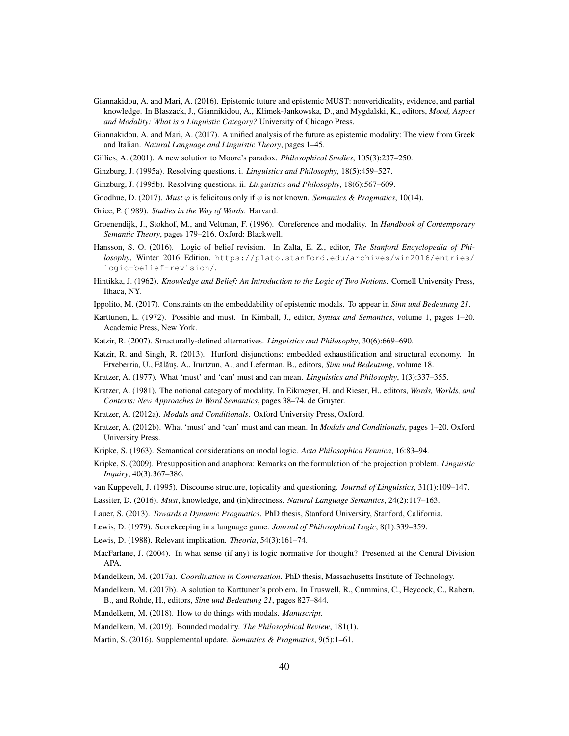- <span id="page-39-4"></span>Giannakidou, A. and Mari, A. (2016). Epistemic future and epistemic MUST: nonveridicality, evidence, and partial knowledge. In Blaszack, J., Giannikidou, A., Klimek-Jankowska, D., and Mygdalski, K., editors, *Mood, Aspect and Modality: What is a Linguistic Category?* University of Chicago Press.
- <span id="page-39-13"></span>Giannakidou, A. and Mari, A. (2017). A unified analysis of the future as epistemic modality: The view from Greek and Italian. *Natural Language and Linguistic Theory*, pages 1–45.
- <span id="page-39-12"></span>Gillies, A. (2001). A new solution to Moore's paradox. *Philosophical Studies*, 105(3):237–250.
- <span id="page-39-24"></span>Ginzburg, J. (1995a). Resolving questions. i. *Linguistics and Philosophy*, 18(5):459–527.
- <span id="page-39-25"></span>Ginzburg, J. (1995b). Resolving questions. ii. *Linguistics and Philosophy*, 18(6):567–609.
- <span id="page-39-5"></span>Goodhue, D. (2017). *Must*  $\varphi$  is felicitous only if  $\varphi$  is not known. *Semantics & Pragmatics*, 10(14).
- <span id="page-39-14"></span>Grice, P. (1989). *Studies in the Way of Words*. Harvard.
- <span id="page-39-11"></span>Groenendijk, J., Stokhof, M., and Veltman, F. (1996). Coreference and modality. In *Handbook of Contemporary Semantic Theory*, pages 179–216. Oxford: Blackwell.
- <span id="page-39-27"></span>Hansson, S. O. (2016). Logic of belief revision. In Zalta, E. Z., editor, *The Stanford Encyclopedia of Philosophy*, Winter 2016 Edition. [https://plato.stanford.edu/archives/win2016/entries/](https://plato.stanford.edu/archives/win2016/entries/logic-belief-revision/) [logic-belief-revision/](https://plato.stanford.edu/archives/win2016/entries/logic-belief-revision/).
- <span id="page-39-18"></span>Hintikka, J. (1962). *Knowledge and Belief: An Introduction to the Logic of Two Notions*. Cornell University Press, Ithaca, NY.
- <span id="page-39-10"></span>Ippolito, M. (2017). Constraints on the embeddability of epistemic modals. To appear in *Sinn und Bedeutung 21*.
- <span id="page-39-1"></span>Karttunen, L. (1972). Possible and must. In Kimball, J., editor, *Syntax and Semantics*, volume 1, pages 1–20. Academic Press, New York.
- <span id="page-39-21"></span>Katzir, R. (2007). Structurally-defined alternatives. *Linguistics and Philosophy*, 30(6):669–690.
- <span id="page-39-29"></span>Katzir, R. and Singh, R. (2013). Hurford disjunctions: embedded exhaustification and structural economy. In Etxeberria, U., Fălăuş, A., Irurtzun, A., and Leferman, B., editors, *Sinn und Bedeutung*, volume 18.
- <span id="page-39-8"></span>Kratzer, A. (1977). What 'must' and 'can' must and can mean. *Linguistics and Philosophy*, 1(3):337–355.
- <span id="page-39-9"></span>Kratzer, A. (1981). The notional category of modality. In Eikmeyer, H. and Rieser, H., editors, *Words, Worlds, and Contexts: New Approaches in Word Semantics*, pages 38–74. de Gruyter.
- <span id="page-39-2"></span>Kratzer, A. (2012a). *Modals and Conditionals*. Oxford University Press, Oxford.
- <span id="page-39-16"></span>Kratzer, A. (2012b). What 'must' and 'can' must and can mean. In *Modals and Conditionals*, pages 1–20. Oxford University Press.
- <span id="page-39-17"></span>Kripke, S. (1963). Semantical considerations on modal logic. *Acta Philosophica Fennica*, 16:83–94.
- <span id="page-39-7"></span>Kripke, S. (2009). Presupposition and anaphora: Remarks on the formulation of the projection problem. *Linguistic Inquiry*, 40(3):367–386.
- <span id="page-39-23"></span>van Kuppevelt, J. (1995). Discourse structure, topicality and questioning. *Journal of Linguistics*, 31(1):109–147.
- <span id="page-39-3"></span>Lassiter, D. (2016). *Must*, knowledge, and (in)directness. *Natural Language Semantics*, 24(2):117–163.
- <span id="page-39-26"></span>Lauer, S. (2013). *Towards a Dynamic Pragmatics*. PhD thesis, Stanford University, Stanford, California.
- <span id="page-39-6"></span>Lewis, D. (1979). Scorekeeping in a language game. *Journal of Philosophical Logic*, 8(1):339–359.
- <span id="page-39-22"></span>Lewis, D. (1988). Relevant implication. *Theoria*, 54(3):161–74.
- <span id="page-39-15"></span>MacFarlane, J. (2004). In what sense (if any) is logic normative for thought? Presented at the Central Division APA.
- <span id="page-39-19"></span>Mandelkern, M. (2017a). *Coordination in Conversation*. PhD thesis, Massachusetts Institute of Technology.
- <span id="page-39-0"></span>Mandelkern, M. (2017b). A solution to Karttunen's problem. In Truswell, R., Cummins, C., Heycock, C., Rabern, B., and Rohde, H., editors, *Sinn und Bedeutung 21*, pages 827–844.
- <span id="page-39-20"></span>Mandelkern, M. (2018). How to do things with modals. *Manuscript*.
- <span id="page-39-30"></span>Mandelkern, M. (2019). Bounded modality. *The Philosophical Review*, 181(1).
- <span id="page-39-28"></span>Martin, S. (2016). Supplemental update. *Semantics & Pragmatics*, 9(5):1–61.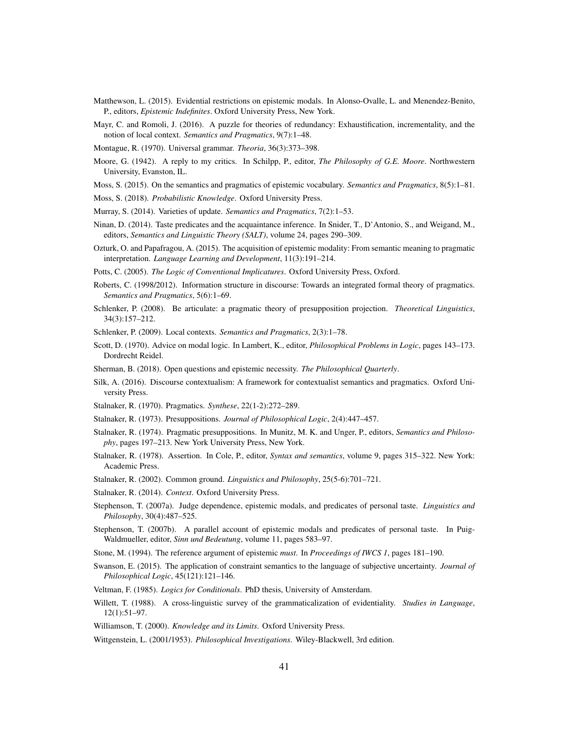- <span id="page-40-1"></span>Matthewson, L. (2015). Evidential restrictions on epistemic modals. In Alonso-Ovalle, L. and Menendez-Benito, P., editors, *Epistemic Indefinites*. Oxford University Press, New York.
- <span id="page-40-20"></span>Mayr, C. and Romoli, J. (2016). A puzzle for theories of redundancy: Exhaustification, incrementality, and the notion of local context. *Semantics and Pragmatics*, 9(7):1–48.

<span id="page-40-21"></span>Montague, R. (1970). Universal grammar. *Theoria*, 36(3):373–398.

- <span id="page-40-14"></span>Moore, G. (1942). A reply to my critics. In Schilpp, P., editor, *The Philosophy of G.E. Moore*. Northwestern University, Evanston, IL.
- <span id="page-40-23"></span>Moss, S. (2015). On the semantics and pragmatics of epistemic vocabulary. *Semantics and Pragmatics*, 8(5):1–81.
- <span id="page-40-25"></span>Moss, S. (2018). *Probabilistic Knowledge*. Oxford University Press.
- <span id="page-40-6"></span>Murray, S. (2014). Varieties of update. *Semantics and Pragmatics*, 7(2):1–53.
- <span id="page-40-26"></span>Ninan, D. (2014). Taste predicates and the acquaintance inference. In Snider, T., D'Antonio, S., and Weigand, M., editors, *Semantics and Linguistic Theory (SALT)*, volume 24, pages 290–309.
- <span id="page-40-2"></span>Ozturk, O. and Papafragou, A. (2015). The acquisition of epistemic modality: From semantic meaning to pragmatic interpretation. *Language Learning and Development*, 11(3):191–214.
- <span id="page-40-27"></span>Potts, C. (2005). *The Logic of Conventional Implicatures*. Oxford University Press, Oxford.
- <span id="page-40-24"></span>Roberts, C. (1998/2012). Information structure in discourse: Towards an integrated formal theory of pragmatics. *Semantics and Pragmatics*, 5(6):1–69.
- <span id="page-40-18"></span>Schlenker, P. (2008). Be articulate: a pragmatic theory of presupposition projection. *Theoretical Linguistics*, 34(3):157–212.
- <span id="page-40-19"></span>Schlenker, P. (2009). Local contexts. *Semantics and Pragmatics*, 2(3):1–78.
- <span id="page-40-22"></span>Scott, D. (1970). Advice on modal logic. In Lambert, K., editor, *Philosophical Problems in Logic*, pages 143–173. Dordrecht Reidel.
- <span id="page-40-3"></span>Sherman, B. (2018). Open questions and epistemic necessity. *The Philosophical Quarterly*.
- <span id="page-40-7"></span>Silk, A. (2016). Discourse contextualism: A framework for contextualist semantics and pragmatics. Oxford University Press.
- <span id="page-40-9"></span>Stalnaker, R. (1970). Pragmatics. *Synthese*, 22(1-2):272–289.
- <span id="page-40-17"></span>Stalnaker, R. (1973). Presuppositions. *Journal of Philosophical Logic*, 2(4):447–457.
- <span id="page-40-12"></span>Stalnaker, R. (1974). Pragmatic presuppositions. In Munitz, M. K. and Unger, P., editors, *Semantics and Philosophy*, pages 197–213. New York University Press, New York.
- <span id="page-40-13"></span>Stalnaker, R. (1978). Assertion. In Cole, P., editor, *Syntax and semantics*, volume 9, pages 315–322. New York: Academic Press.
- <span id="page-40-10"></span>Stalnaker, R. (2002). Common ground. *Linguistics and Philosophy*, 25(5-6):701–721.
- <span id="page-40-11"></span>Stalnaker, R. (2014). *Context*. Oxford University Press.
- <span id="page-40-29"></span>Stephenson, T. (2007a). Judge dependence, epistemic modals, and predicates of personal taste. *Linguistics and Philosophy*, 30(4):487–525.
- <span id="page-40-28"></span>Stephenson, T. (2007b). A parallel account of epistemic modals and predicates of personal taste. In Puig-Waldmueller, editor, *Sinn und Bedeutung*, volume 11, pages 583–97.
- <span id="page-40-5"></span>Stone, M. (1994). The reference argument of epistemic *must*. In *Proceedings of IWCS 1*, pages 181–190.
- <span id="page-40-8"></span>Swanson, E. (2015). The application of constraint semantics to the language of subjective uncertainty. *Journal of Philosophical Logic*, 45(121):121–146.
- <span id="page-40-0"></span>Veltman, F. (1985). *Logics for Conditionals*. PhD thesis, University of Amsterdam.
- <span id="page-40-4"></span>Willett, T. (1988). A cross-linguistic survey of the grammaticalization of evidentiality. *Studies in Language*, 12(1):51–97.

<span id="page-40-15"></span>Williamson, T. (2000). *Knowledge and its Limits*. Oxford University Press.

<span id="page-40-16"></span>Wittgenstein, L. (2001/1953). *Philosophical Investigations*. Wiley-Blackwell, 3rd edition.